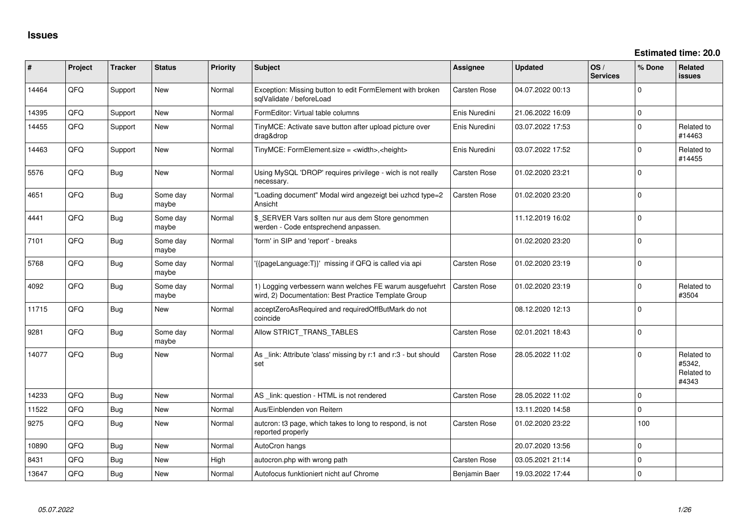| #     | Project | <b>Tracker</b> | <b>Status</b>     | Priority | <b>Subject</b>                                                                                                  | <b>Assignee</b>     | <b>Updated</b>   | OS/<br><b>Services</b> | % Done      | <b>Related</b><br><b>issues</b>             |
|-------|---------|----------------|-------------------|----------|-----------------------------------------------------------------------------------------------------------------|---------------------|------------------|------------------------|-------------|---------------------------------------------|
| 14464 | QFQ     | Support        | <b>New</b>        | Normal   | Exception: Missing button to edit FormElement with broken<br>sqlValidate / beforeLoad                           | Carsten Rose        | 04.07.2022 00:13 |                        | $\Omega$    |                                             |
| 14395 | QFQ     | Support        | New               | Normal   | FormEditor: Virtual table columns                                                                               | Enis Nuredini       | 21.06.2022 16:09 |                        | $\mathbf 0$ |                                             |
| 14455 | QFQ     | Support        | New               | Normal   | TinyMCE: Activate save button after upload picture over<br>drag&drop                                            | Enis Nuredini       | 03.07.2022 17:53 |                        | $\Omega$    | Related to<br>#14463                        |
| 14463 | QFQ     | Support        | New               | Normal   | TinyMCE: FormElement.size = <width>,<height></height></width>                                                   | Enis Nuredini       | 03.07.2022 17:52 |                        | $\Omega$    | Related to<br>#14455                        |
| 5576  | QFQ     | <b>Bug</b>     | New               | Normal   | Using MySQL 'DROP' requires privilege - wich is not really<br>necessary.                                        | <b>Carsten Rose</b> | 01.02.2020 23:21 |                        | 0           |                                             |
| 4651  | QFQ     | Bug            | Some day<br>maybe | Normal   | "Loading document" Modal wird angezeigt bei uzhcd type=2<br>Ansicht                                             | <b>Carsten Rose</b> | 01.02.2020 23:20 |                        | 0           |                                             |
| 4441  | QFQ     | <b>Bug</b>     | Some day<br>maybe | Normal   | \$_SERVER Vars sollten nur aus dem Store genommen<br>werden - Code entsprechend anpassen.                       |                     | 11.12.2019 16:02 |                        | $\Omega$    |                                             |
| 7101  | QFQ     | <b>Bug</b>     | Some day<br>maybe | Normal   | 'form' in SIP and 'report' - breaks                                                                             |                     | 01.02.2020 23:20 |                        | $\mathbf 0$ |                                             |
| 5768  | QFQ     | Bug            | Some day<br>maybe | Normal   | '{{pageLanguage:T}}' missing if QFQ is called via api                                                           | <b>Carsten Rose</b> | 01.02.2020 23:19 |                        | $\Omega$    |                                             |
| 4092  | QFQ     | <b>Bug</b>     | Some day<br>maybe | Normal   | 1) Logging verbessern wann welches FE warum ausgefuehrt<br>wird, 2) Documentation: Best Practice Template Group | <b>Carsten Rose</b> | 01.02.2020 23:19 |                        | 0           | Related to<br>#3504                         |
| 11715 | QFQ     | <b>Bug</b>     | New               | Normal   | acceptZeroAsRequired and requiredOffButMark do not<br>coincide                                                  |                     | 08.12.2020 12:13 |                        | $\mathbf 0$ |                                             |
| 9281  | QFQ     | Bug            | Some day<br>maybe | Normal   | Allow STRICT_TRANS_TABLES                                                                                       | Carsten Rose        | 02.01.2021 18:43 |                        | $\Omega$    |                                             |
| 14077 | QFQ     | <b>Bug</b>     | <b>New</b>        | Normal   | As link: Attribute 'class' missing by r:1 and r:3 - but should<br>set                                           | <b>Carsten Rose</b> | 28.05.2022 11:02 |                        | $\Omega$    | Related to<br>#5342,<br>Related to<br>#4343 |
| 14233 | QFQ     | Bug            | New               | Normal   | AS link: question - HTML is not rendered                                                                        | <b>Carsten Rose</b> | 28.05.2022 11:02 |                        | 0           |                                             |
| 11522 | QFQ     | <b>Bug</b>     | <b>New</b>        | Normal   | Aus/Einblenden von Reitern                                                                                      |                     | 13.11.2020 14:58 |                        | 0           |                                             |
| 9275  | QFQ     | <b>Bug</b>     | <b>New</b>        | Normal   | autcron: t3 page, which takes to long to respond, is not<br>reported properly                                   | <b>Carsten Rose</b> | 01.02.2020 23:22 |                        | 100         |                                             |
| 10890 | QFQ     | Bug            | <b>New</b>        | Normal   | AutoCron hangs                                                                                                  |                     | 20.07.2020 13:56 |                        | 0           |                                             |
| 8431  | QFQ     | <b>Bug</b>     | <b>New</b>        | High     | autocron.php with wrong path                                                                                    | <b>Carsten Rose</b> | 03.05.2021 21:14 |                        | 0           |                                             |
| 13647 | QFQ     | <b>Bug</b>     | New               | Normal   | Autofocus funktioniert nicht auf Chrome                                                                         | Benjamin Baer       | 19.03.2022 17:44 |                        | 0           |                                             |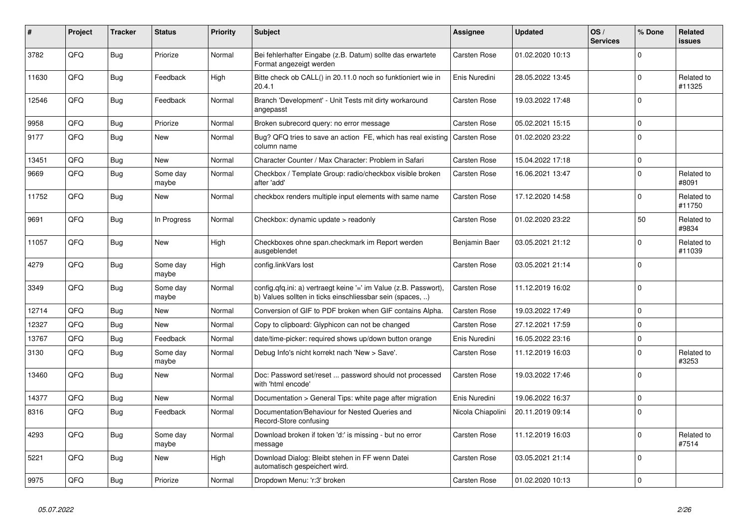| #     | Project | <b>Tracker</b> | <b>Status</b>     | <b>Priority</b> | <b>Subject</b>                                                                                                                | Assignee            | <b>Updated</b>   | OS/<br><b>Services</b> | % Done       | Related<br>issues    |
|-------|---------|----------------|-------------------|-----------------|-------------------------------------------------------------------------------------------------------------------------------|---------------------|------------------|------------------------|--------------|----------------------|
| 3782  | QFQ     | <b>Bug</b>     | Priorize          | Normal          | Bei fehlerhafter Eingabe (z.B. Datum) sollte das erwartete<br>Format angezeigt werden                                         | <b>Carsten Rose</b> | 01.02.2020 10:13 |                        | $\Omega$     |                      |
| 11630 | QFQ     | Bug            | Feedback          | High            | Bitte check ob CALL() in 20.11.0 noch so funktioniert wie in<br>20.4.1                                                        | Enis Nuredini       | 28.05.2022 13:45 |                        | $\mathbf{0}$ | Related to<br>#11325 |
| 12546 | QFQ     | <b>Bug</b>     | Feedback          | Normal          | Branch 'Development' - Unit Tests mit dirty workaround<br>angepasst                                                           | Carsten Rose        | 19.03.2022 17:48 |                        | $\Omega$     |                      |
| 9958  | QFQ     | Bug            | Priorize          | Normal          | Broken subrecord query: no error message                                                                                      | <b>Carsten Rose</b> | 05.02.2021 15:15 |                        | $\mathbf 0$  |                      |
| 9177  | QFQ     | Bug            | New               | Normal          | Bug? QFQ tries to save an action FE, which has real existing<br>column name                                                   | <b>Carsten Rose</b> | 01.02.2020 23:22 |                        | $\Omega$     |                      |
| 13451 | QFQ     | <b>Bug</b>     | <b>New</b>        | Normal          | Character Counter / Max Character: Problem in Safari                                                                          | Carsten Rose        | 15.04.2022 17:18 |                        | $\mathbf 0$  |                      |
| 9669  | QFQ     | <b>Bug</b>     | Some day<br>maybe | Normal          | Checkbox / Template Group: radio/checkbox visible broken<br>after 'add'                                                       | Carsten Rose        | 16.06.2021 13:47 |                        | $\Omega$     | Related to<br>#8091  |
| 11752 | QFQ     | Bug            | New               | Normal          | checkbox renders multiple input elements with same name                                                                       | Carsten Rose        | 17.12.2020 14:58 |                        | $\Omega$     | Related to<br>#11750 |
| 9691  | QFQ     | Bug            | In Progress       | Normal          | Checkbox: dynamic update $>$ readonly                                                                                         | Carsten Rose        | 01.02.2020 23:22 |                        | 50           | Related to<br>#9834  |
| 11057 | QFQ     | <b>Bug</b>     | <b>New</b>        | High            | Checkboxes ohne span.checkmark im Report werden<br>ausgeblendet                                                               | Benjamin Baer       | 03.05.2021 21:12 |                        | $\Omega$     | Related to<br>#11039 |
| 4279  | QFQ     | <b>Bug</b>     | Some day<br>maybe | High            | config.linkVars lost                                                                                                          | Carsten Rose        | 03.05.2021 21:14 |                        | $\Omega$     |                      |
| 3349  | QFQ     | <b>Bug</b>     | Some day<br>maybe | Normal          | config.qfq.ini: a) vertraegt keine '=' im Value (z.B. Passwort),<br>b) Values sollten in ticks einschliessbar sein (spaces, ) | Carsten Rose        | 11.12.2019 16:02 |                        | $\Omega$     |                      |
| 12714 | QFQ     | Bug            | New               | Normal          | Conversion of GIF to PDF broken when GIF contains Alpha.                                                                      | <b>Carsten Rose</b> | 19.03.2022 17:49 |                        | $\mathbf 0$  |                      |
| 12327 | QFQ     | <b>Bug</b>     | New               | Normal          | Copy to clipboard: Glyphicon can not be changed                                                                               | <b>Carsten Rose</b> | 27.12.2021 17:59 |                        | 0            |                      |
| 13767 | QFQ     | Bug            | Feedback          | Normal          | date/time-picker: required shows up/down button orange                                                                        | Enis Nuredini       | 16.05.2022 23:16 |                        | $\Omega$     |                      |
| 3130  | QFQ     | <b>Bug</b>     | Some day<br>maybe | Normal          | Debug Info's nicht korrekt nach 'New > Save'.                                                                                 | <b>Carsten Rose</b> | 11.12.2019 16:03 |                        | $\Omega$     | Related to<br>#3253  |
| 13460 | QFQ     | <b>Bug</b>     | New               | Normal          | Doc: Password set/reset  password should not processed<br>with 'html encode'                                                  | <b>Carsten Rose</b> | 19.03.2022 17:46 |                        | $\Omega$     |                      |
| 14377 | QFQ     | <b>Bug</b>     | <b>New</b>        | Normal          | Documentation > General Tips: white page after migration                                                                      | Enis Nuredini       | 19.06.2022 16:37 |                        | $\Omega$     |                      |
| 8316  | QFQ     | Bug            | Feedback          | Normal          | Documentation/Behaviour for Nested Queries and<br>Record-Store confusing                                                      | Nicola Chiapolini   | 20.11.2019 09:14 |                        | $\Omega$     |                      |
| 4293  | QFQ     | <b>Bug</b>     | Some day<br>maybe | Normal          | Download broken if token 'd:' is missing - but no error<br>message                                                            | Carsten Rose        | 11.12.2019 16:03 |                        | $\Omega$     | Related to<br>#7514  |
| 5221  | QFQ     | Bug            | New               | High            | Download Dialog: Bleibt stehen in FF wenn Datei<br>automatisch gespeichert wird.                                              | <b>Carsten Rose</b> | 03.05.2021 21:14 |                        | $\mathbf 0$  |                      |
| 9975  | QFQ     | <b>Bug</b>     | Priorize          | Normal          | Dropdown Menu: 'r:3' broken                                                                                                   | Carsten Rose        | 01.02.2020 10:13 |                        | $\Omega$     |                      |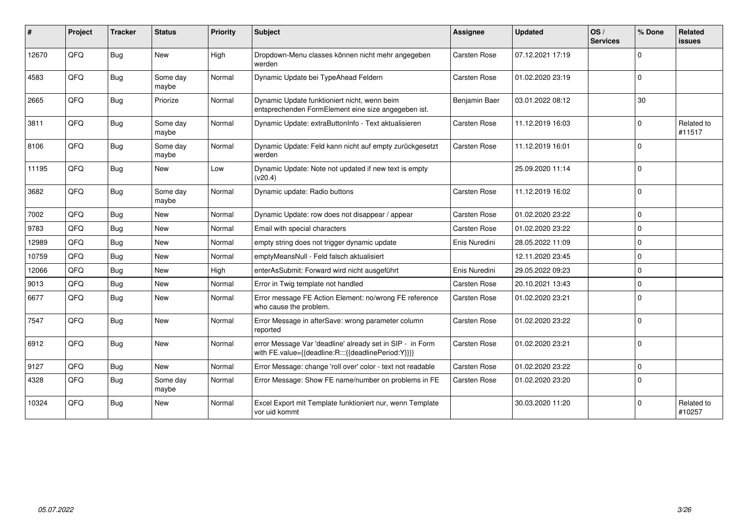| ∦     | Project | <b>Tracker</b> | <b>Status</b>     | <b>Priority</b> | <b>Subject</b>                                                                                                   | Assignee            | <b>Updated</b>   | OS/<br><b>Services</b> | % Done      | Related<br>issues    |
|-------|---------|----------------|-------------------|-----------------|------------------------------------------------------------------------------------------------------------------|---------------------|------------------|------------------------|-------------|----------------------|
| 12670 | QFQ     | Bug            | New               | High            | Dropdown-Menu classes können nicht mehr angegeben<br>werden                                                      | Carsten Rose        | 07.12.2021 17:19 |                        | $\mathbf 0$ |                      |
| 4583  | QFQ     | Bug            | Some day<br>maybe | Normal          | Dynamic Update bei TypeAhead Feldern                                                                             | Carsten Rose        | 01.02.2020 23:19 |                        | $\Omega$    |                      |
| 2665  | QFQ     | <b>Bug</b>     | Priorize          | Normal          | Dynamic Update funktioniert nicht, wenn beim<br>entsprechenden FormElement eine size angegeben ist.              | Benjamin Baer       | 03.01.2022 08:12 |                        | 30          |                      |
| 3811  | QFQ     | Bug            | Some day<br>maybe | Normal          | Dynamic Update: extraButtonInfo - Text aktualisieren                                                             | Carsten Rose        | 11.12.2019 16:03 |                        | 0           | Related to<br>#11517 |
| 8106  | QFQ     | <b>Bug</b>     | Some day<br>maybe | Normal          | Dynamic Update: Feld kann nicht auf empty zurückgesetzt<br>werden                                                | Carsten Rose        | 11.12.2019 16:01 |                        | $\Omega$    |                      |
| 11195 | QFQ     | Bug            | <b>New</b>        | Low             | Dynamic Update: Note not updated if new text is empty<br>(v20.4)                                                 |                     | 25.09.2020 11:14 |                        | $\Omega$    |                      |
| 3682  | QFQ     | <b>Bug</b>     | Some day<br>maybe | Normal          | Dynamic update: Radio buttons                                                                                    | Carsten Rose        | 11.12.2019 16:02 |                        | $\mathbf 0$ |                      |
| 7002  | QFQ     | Bug            | <b>New</b>        | Normal          | Dynamic Update: row does not disappear / appear                                                                  | Carsten Rose        | 01.02.2020 23:22 |                        | $\mathbf 0$ |                      |
| 9783  | QFQ     | <b>Bug</b>     | New               | Normal          | Email with special characters                                                                                    | Carsten Rose        | 01.02.2020 23:22 |                        | 0           |                      |
| 12989 | QFQ     | <b>Bug</b>     | <b>New</b>        | Normal          | empty string does not trigger dynamic update                                                                     | Enis Nuredini       | 28.05.2022 11:09 |                        | $\Omega$    |                      |
| 10759 | QFQ     | Bug            | New               | Normal          | emptyMeansNull - Feld falsch aktualisiert                                                                        |                     | 12.11.2020 23:45 |                        | $\mathbf 0$ |                      |
| 12066 | QFQ     | <b>Bug</b>     | New               | High            | enterAsSubmit: Forward wird nicht ausgeführt                                                                     | Enis Nuredini       | 29.05.2022 09:23 |                        | $\mathbf 0$ |                      |
| 9013  | QFQ     | Bug            | New               | Normal          | Error in Twig template not handled                                                                               | Carsten Rose        | 20.10.2021 13:43 |                        | $\mathbf 0$ |                      |
| 6677  | QFQ     | <b>Bug</b>     | <b>New</b>        | Normal          | Error message FE Action Element: no/wrong FE reference<br>who cause the problem.                                 | Carsten Rose        | 01.02.2020 23:21 |                        | $\mathbf 0$ |                      |
| 7547  | QFQ     | <b>Bug</b>     | New               | Normal          | Error Message in afterSave: wrong parameter column<br>reported                                                   | Carsten Rose        | 01.02.2020 23:22 |                        | $\Omega$    |                      |
| 6912  | QFQ     | <b>Bug</b>     | New               | Normal          | error Message Var 'deadline' already set in SIP - in Form<br>with FE.value={{deadline:R:::{{deadlinePeriod:Y}}}} | Carsten Rose        | 01.02.2020 23:21 |                        | $\mathbf 0$ |                      |
| 9127  | QFQ     | <b>Bug</b>     | <b>New</b>        | Normal          | Error Message: change 'roll over' color - text not readable                                                      | Carsten Rose        | 01.02.2020 23:22 |                        | $\mathbf 0$ |                      |
| 4328  | QFQ     | Bug            | Some day<br>maybe | Normal          | Error Message: Show FE name/number on problems in FE                                                             | <b>Carsten Rose</b> | 01.02.2020 23:20 |                        | $\mathbf 0$ |                      |
| 10324 | QFQ     | <b>Bug</b>     | New               | Normal          | Excel Export mit Template funktioniert nur, wenn Template<br>vor uid kommt                                       |                     | 30.03.2020 11:20 |                        | $\mathbf 0$ | Related to<br>#10257 |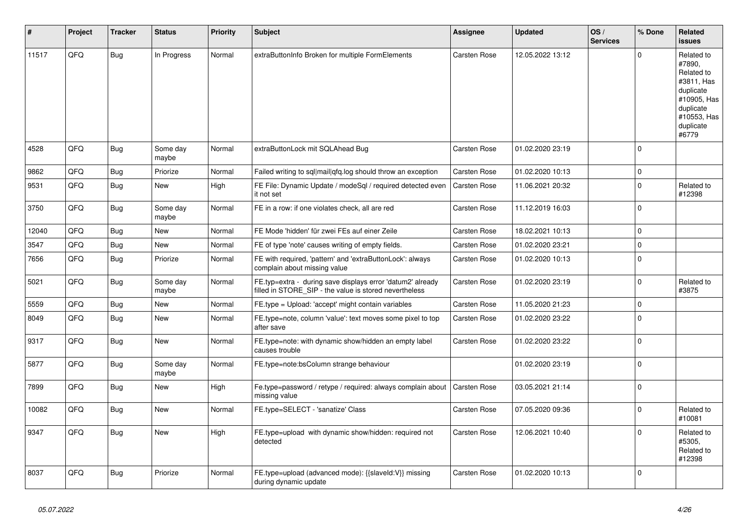| #     | Project | <b>Tracker</b> | <b>Status</b>     | <b>Priority</b> | <b>Subject</b>                                                                                                       | Assignee            | <b>Updated</b>   | OS/<br><b>Services</b> | % Done      | Related<br><b>issues</b>                                                                                                       |
|-------|---------|----------------|-------------------|-----------------|----------------------------------------------------------------------------------------------------------------------|---------------------|------------------|------------------------|-------------|--------------------------------------------------------------------------------------------------------------------------------|
| 11517 | QFQ     | <b>Bug</b>     | In Progress       | Normal          | extraButtonInfo Broken for multiple FormElements                                                                     | Carsten Rose        | 12.05.2022 13:12 |                        | $\Omega$    | Related to<br>#7890,<br>Related to<br>#3811, Has<br>duplicate<br>#10905, Has<br>duplicate<br>#10553, Has<br>duplicate<br>#6779 |
| 4528  | QFQ     | Bug            | Some day<br>maybe | Normal          | extraButtonLock mit SQLAhead Bug                                                                                     | <b>Carsten Rose</b> | 01.02.2020 23:19 |                        | $\Omega$    |                                                                                                                                |
| 9862  | QFQ     | Bug            | Priorize          | Normal          | Failed writing to sql mail qfq.log should throw an exception                                                         | Carsten Rose        | 01.02.2020 10:13 |                        | $\Omega$    |                                                                                                                                |
| 9531  | QFQ     | Bug            | New               | High            | FE File: Dynamic Update / modeSql / required detected even<br>it not set                                             | Carsten Rose        | 11.06.2021 20:32 |                        | $\Omega$    | Related to<br>#12398                                                                                                           |
| 3750  | QFQ     | <b>Bug</b>     | Some day<br>maybe | Normal          | FE in a row: if one violates check, all are red                                                                      | Carsten Rose        | 11.12.2019 16:03 |                        | $\Omega$    |                                                                                                                                |
| 12040 | QFQ     | Bug            | New               | Normal          | FE Mode 'hidden' für zwei FEs auf einer Zeile                                                                        | Carsten Rose        | 18.02.2021 10:13 |                        | $\Omega$    |                                                                                                                                |
| 3547  | QFQ     | <b>Bug</b>     | New               | Normal          | FE of type 'note' causes writing of empty fields.                                                                    | Carsten Rose        | 01.02.2020 23:21 |                        | $\mathbf 0$ |                                                                                                                                |
| 7656  | QFQ     | Bug            | Priorize          | Normal          | FE with required, 'pattern' and 'extraButtonLock': always<br>complain about missing value                            | Carsten Rose        | 01.02.2020 10:13 |                        | $\Omega$    |                                                                                                                                |
| 5021  | QFQ     | <b>Bug</b>     | Some day<br>maybe | Normal          | FE.typ=extra - during save displays error 'datum2' already<br>filled in STORE_SIP - the value is stored nevertheless | Carsten Rose        | 01.02.2020 23:19 |                        | $\mathbf 0$ | Related to<br>#3875                                                                                                            |
| 5559  | QFQ     | <b>Bug</b>     | <b>New</b>        | Normal          | FE.type = Upload: 'accept' might contain variables                                                                   | Carsten Rose        | 11.05.2020 21:23 |                        | $\Omega$    |                                                                                                                                |
| 8049  | QFQ     | Bug            | <b>New</b>        | Normal          | FE.type=note, column 'value': text moves some pixel to top<br>after save                                             | Carsten Rose        | 01.02.2020 23:22 |                        | $\Omega$    |                                                                                                                                |
| 9317  | QFQ     | Bug            | New               | Normal          | FE.type=note: with dynamic show/hidden an empty label<br>causes trouble                                              | <b>Carsten Rose</b> | 01.02.2020 23:22 |                        | $\Omega$    |                                                                                                                                |
| 5877  | QFQ     | Bug            | Some day<br>maybe | Normal          | FE.type=note:bsColumn strange behaviour                                                                              |                     | 01.02.2020 23:19 |                        | $\Omega$    |                                                                                                                                |
| 7899  | QFQ     | <b>Bug</b>     | New               | High            | Fe.type=password / retype / required: always complain about<br>missing value                                         | <b>Carsten Rose</b> | 03.05.2021 21:14 |                        | $\Omega$    |                                                                                                                                |
| 10082 | QFQ     | <b>Bug</b>     | <b>New</b>        | Normal          | FE.type=SELECT - 'sanatize' Class                                                                                    | Carsten Rose        | 07.05.2020 09:36 |                        | $\Omega$    | Related to<br>#10081                                                                                                           |
| 9347  | QFQ     | Bug            | New               | High            | FE.type=upload with dynamic show/hidden: required not<br>detected                                                    | Carsten Rose        | 12.06.2021 10:40 |                        | $\Omega$    | Related to<br>#5305,<br>Related to<br>#12398                                                                                   |
| 8037  | QFQ     | Bug            | Priorize          | Normal          | FE.type=upload (advanced mode): {{slaveld:V}} missing<br>during dynamic update                                       | Carsten Rose        | 01.02.2020 10:13 |                        | $\Omega$    |                                                                                                                                |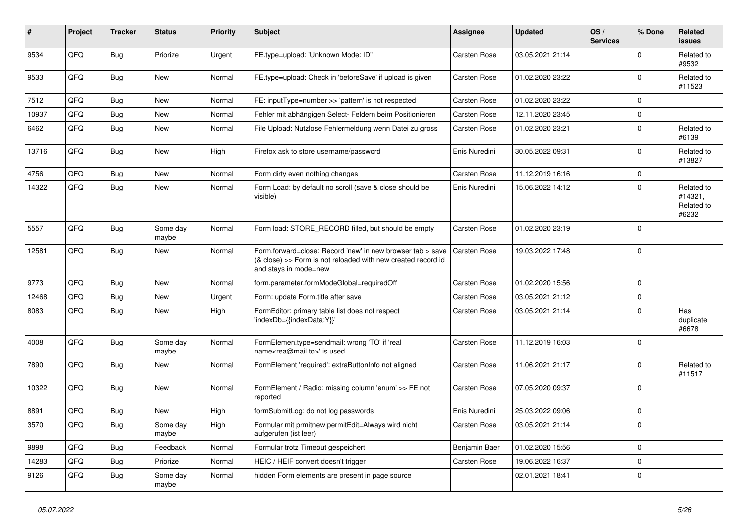| #     | Project | <b>Tracker</b> | <b>Status</b>     | <b>Priority</b> | <b>Subject</b>                                                                                                                                      | Assignee            | <b>Updated</b>   | OS/<br><b>Services</b> | % Done         | Related<br><b>issues</b>                     |
|-------|---------|----------------|-------------------|-----------------|-----------------------------------------------------------------------------------------------------------------------------------------------------|---------------------|------------------|------------------------|----------------|----------------------------------------------|
| 9534  | QFQ     | <b>Bug</b>     | Priorize          | Urgent          | FE.type=upload: 'Unknown Mode: ID"                                                                                                                  | Carsten Rose        | 03.05.2021 21:14 |                        | $\mathbf 0$    | Related to<br>#9532                          |
| 9533  | QFQ     | Bug            | New               | Normal          | FE.type=upload: Check in 'beforeSave' if upload is given                                                                                            | Carsten Rose        | 01.02.2020 23:22 |                        | $\mathbf 0$    | Related to<br>#11523                         |
| 7512  | QFQ     | <b>Bug</b>     | New               | Normal          | FE: inputType=number >> 'pattern' is not respected                                                                                                  | Carsten Rose        | 01.02.2020 23:22 |                        | $\overline{0}$ |                                              |
| 10937 | QFQ     | Bug            | New               | Normal          | Fehler mit abhängigen Select- Feldern beim Positionieren                                                                                            | Carsten Rose        | 12.11.2020 23:45 |                        | $\overline{0}$ |                                              |
| 6462  | QFQ     | Bug            | New               | Normal          | File Upload: Nutzlose Fehlermeldung wenn Datei zu gross                                                                                             | Carsten Rose        | 01.02.2020 23:21 |                        | $\overline{0}$ | Related to<br>#6139                          |
| 13716 | QFQ     | Bug            | <b>New</b>        | High            | Firefox ask to store username/password                                                                                                              | Enis Nuredini       | 30.05.2022 09:31 |                        | $\overline{0}$ | Related to<br>#13827                         |
| 4756  | QFQ     | Bug            | <b>New</b>        | Normal          | Form dirty even nothing changes                                                                                                                     | <b>Carsten Rose</b> | 11.12.2019 16:16 |                        | $\overline{0}$ |                                              |
| 14322 | QFQ     | Bug            | New               | Normal          | Form Load: by default no scroll (save & close should be<br>visible)                                                                                 | Enis Nuredini       | 15.06.2022 14:12 |                        | $\overline{0}$ | Related to<br>#14321,<br>Related to<br>#6232 |
| 5557  | QFQ     | Bug            | Some day<br>maybe | Normal          | Form load: STORE RECORD filled, but should be empty                                                                                                 | Carsten Rose        | 01.02.2020 23:19 |                        | $\overline{0}$ |                                              |
| 12581 | QFQ     | Bug            | <b>New</b>        | Normal          | Form.forward=close: Record 'new' in new browser tab > save<br>(& close) >> Form is not reloaded with new created record id<br>and stays in mode=new | Carsten Rose        | 19.03.2022 17:48 |                        | $\overline{0}$ |                                              |
| 9773  | QFQ     | Bug            | New               | Normal          | form.parameter.formModeGlobal=requiredOff                                                                                                           | <b>Carsten Rose</b> | 01.02.2020 15:56 |                        | $\overline{0}$ |                                              |
| 12468 | QFQ     | Bug            | New               | Urgent          | Form: update Form.title after save                                                                                                                  | <b>Carsten Rose</b> | 03.05.2021 21:12 |                        | $\overline{0}$ |                                              |
| 8083  | QFQ     | Bug            | <b>New</b>        | High            | FormEditor: primary table list does not respect<br>'indexDb={{indexData:Y}}'                                                                        | Carsten Rose        | 03.05.2021 21:14 |                        | $\overline{0}$ | Has<br>duplicate<br>#6678                    |
| 4008  | QFQ     | Bug            | Some day<br>maybe | Normal          | FormElemen.type=sendmail: wrong 'TO' if 'real<br>name <rea@mail.to>' is used</rea@mail.to>                                                          | Carsten Rose        | 11.12.2019 16:03 |                        | $\overline{0}$ |                                              |
| 7890  | QFQ     | <b>Bug</b>     | <b>New</b>        | Normal          | FormElement 'required': extraButtonInfo not aligned                                                                                                 | Carsten Rose        | 11.06.2021 21:17 |                        | $\overline{0}$ | Related to<br>#11517                         |
| 10322 | QFQ     | Bug            | New               | Normal          | FormElement / Radio: missing column 'enum' >> FE not<br>reported                                                                                    | Carsten Rose        | 07.05.2020 09:37 |                        | $\overline{0}$ |                                              |
| 8891  | QFQ     | Bug            | New               | High            | formSubmitLog: do not log passwords                                                                                                                 | Enis Nuredini       | 25.03.2022 09:06 |                        | $\overline{0}$ |                                              |
| 3570  | QFQ     | Bug            | Some day<br>maybe | High            | Formular mit prmitnew permitEdit=Always wird nicht<br>aufgerufen (ist leer)                                                                         | Carsten Rose        | 03.05.2021 21:14 |                        | $\overline{0}$ |                                              |
| 9898  | QFQ     | <b>Bug</b>     | Feedback          | Normal          | Formular trotz Timeout gespeichert                                                                                                                  | Benjamin Baer       | 01.02.2020 15:56 |                        | $\overline{0}$ |                                              |
| 14283 | QFQ     | <b>Bug</b>     | Priorize          | Normal          | HEIC / HEIF convert doesn't trigger                                                                                                                 | Carsten Rose        | 19.06.2022 16:37 |                        | $\overline{0}$ |                                              |
| 9126  | QFQ     | Bug            | Some day<br>maybe | Normal          | hidden Form elements are present in page source                                                                                                     |                     | 02.01.2021 18:41 |                        | $\overline{0}$ |                                              |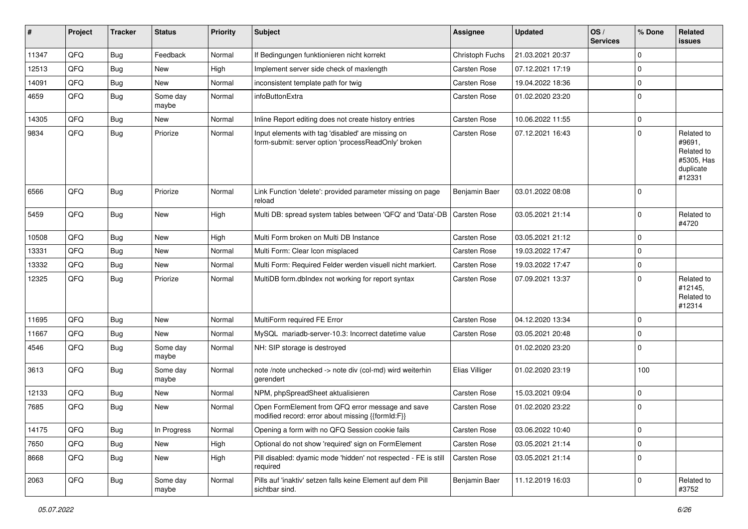| #     | Project | <b>Tracker</b> | <b>Status</b>     | <b>Priority</b> | Subject                                                                                                  | Assignee            | <b>Updated</b>   | OS/<br><b>Services</b> | % Done      | Related<br><b>issues</b>                                                |
|-------|---------|----------------|-------------------|-----------------|----------------------------------------------------------------------------------------------------------|---------------------|------------------|------------------------|-------------|-------------------------------------------------------------------------|
| 11347 | QFQ     | <b>Bug</b>     | Feedback          | Normal          | If Bedingungen funktionieren nicht korrekt                                                               | Christoph Fuchs     | 21.03.2021 20:37 |                        | $\Omega$    |                                                                         |
| 12513 | QFQ     | <b>Bug</b>     | New               | High            | Implement server side check of maxlength                                                                 | <b>Carsten Rose</b> | 07.12.2021 17:19 |                        | 0           |                                                                         |
| 14091 | QFQ     | <b>Bug</b>     | New               | Normal          | inconsistent template path for twig                                                                      | Carsten Rose        | 19.04.2022 18:36 |                        | $\mathbf 0$ |                                                                         |
| 4659  | QFQ     | <b>Bug</b>     | Some day<br>maybe | Normal          | infoButtonExtra                                                                                          | Carsten Rose        | 01.02.2020 23:20 |                        | $\Omega$    |                                                                         |
| 14305 | QFQ     | <b>Bug</b>     | New               | Normal          | Inline Report editing does not create history entries                                                    | Carsten Rose        | 10.06.2022 11:55 |                        | $\mathbf 0$ |                                                                         |
| 9834  | QFQ     | <b>Bug</b>     | Priorize          | Normal          | Input elements with tag 'disabled' are missing on<br>form-submit: server option 'processReadOnly' broken | Carsten Rose        | 07.12.2021 16:43 |                        | $\Omega$    | Related to<br>#9691,<br>Related to<br>#5305, Has<br>duplicate<br>#12331 |
| 6566  | QFQ     | <b>Bug</b>     | Priorize          | Normal          | Link Function 'delete': provided parameter missing on page<br>reload                                     | Benjamin Baer       | 03.01.2022 08:08 |                        | $\Omega$    |                                                                         |
| 5459  | QFQ     | <b>Bug</b>     | New               | High            | Multi DB: spread system tables between 'QFQ' and 'Data'-DB                                               | <b>Carsten Rose</b> | 03.05.2021 21:14 |                        | 0           | Related to<br>#4720                                                     |
| 10508 | QFQ     | <b>Bug</b>     | New               | High            | Multi Form broken on Multi DB Instance                                                                   | Carsten Rose        | 03.05.2021 21:12 |                        | $\Omega$    |                                                                         |
| 13331 | QFQ     | <b>Bug</b>     | New               | Normal          | Multi Form: Clear Icon misplaced                                                                         | Carsten Rose        | 19.03.2022 17:47 |                        | 0           |                                                                         |
| 13332 | QFQ     | <b>Bug</b>     | New               | Normal          | Multi Form: Required Felder werden visuell nicht markiert.                                               | Carsten Rose        | 19.03.2022 17:47 |                        | $\Omega$    |                                                                         |
| 12325 | QFQ     | <b>Bug</b>     | Priorize          | Normal          | MultiDB form.dblndex not working for report syntax                                                       | <b>Carsten Rose</b> | 07.09.2021 13:37 |                        | $\Omega$    | Related to<br>#12145,<br>Related to<br>#12314                           |
| 11695 | QFQ     | Bug            | New               | Normal          | MultiForm required FE Error                                                                              | Carsten Rose        | 04.12.2020 13:34 |                        | $\Omega$    |                                                                         |
| 11667 | QFQ     | Bug            | New               | Normal          | MySQL mariadb-server-10.3: Incorrect datetime value                                                      | <b>Carsten Rose</b> | 03.05.2021 20:48 |                        | $\mathbf 0$ |                                                                         |
| 4546  | QFQ     | Bug            | Some day<br>maybe | Normal          | NH: SIP storage is destroyed                                                                             |                     | 01.02.2020 23:20 |                        | $\Omega$    |                                                                         |
| 3613  | QFQ     | <b>Bug</b>     | Some day<br>maybe | Normal          | note /note unchecked -> note div (col-md) wird weiterhin<br>gerendert                                    | Elias Villiger      | 01.02.2020 23:19 |                        | 100         |                                                                         |
| 12133 | QFQ     | Bug            | New               | Normal          | NPM, phpSpreadSheet aktualisieren                                                                        | Carsten Rose        | 15.03.2021 09:04 |                        | $\Omega$    |                                                                         |
| 7685  | QFQ     | <b>Bug</b>     | New               | Normal          | Open FormElement from QFQ error message and save<br>modified record: error about missing {{formId:F}}    | <b>Carsten Rose</b> | 01.02.2020 23:22 |                        | $\mathbf 0$ |                                                                         |
| 14175 | QFQ     | <b>Bug</b>     | In Progress       | Normal          | Opening a form with no QFQ Session cookie fails                                                          | Carsten Rose        | 03.06.2022 10:40 |                        | $\mathbf 0$ |                                                                         |
| 7650  | QFQ     | <b>Bug</b>     | New               | High            | Optional do not show 'required' sign on FormElement                                                      | Carsten Rose        | 03.05.2021 21:14 |                        | $\mathbf 0$ |                                                                         |
| 8668  | QFQ     | <b>Bug</b>     | New               | High            | Pill disabled: dyamic mode 'hidden' not respected - FE is still<br>required                              | Carsten Rose        | 03.05.2021 21:14 |                        | $\Omega$    |                                                                         |
| 2063  | QFQ     | <b>Bug</b>     | Some day<br>maybe | Normal          | Pills auf 'inaktiv' setzen falls keine Element auf dem Pill<br>sichtbar sind.                            | Benjamin Baer       | 11.12.2019 16:03 |                        | $\mathbf 0$ | Related to<br>#3752                                                     |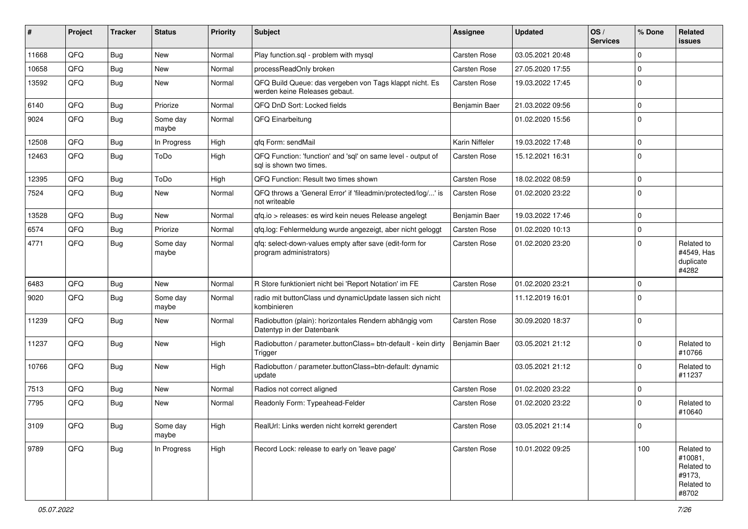| #     | Project | <b>Tracker</b> | <b>Status</b>     | <b>Priority</b> | <b>Subject</b>                                                                           | Assignee       | <b>Updated</b>   | OS/<br><b>Services</b> | % Done         | Related<br><b>issues</b>                                             |
|-------|---------|----------------|-------------------|-----------------|------------------------------------------------------------------------------------------|----------------|------------------|------------------------|----------------|----------------------------------------------------------------------|
| 11668 | QFQ     | Bug            | New               | Normal          | Play function.sql - problem with mysql                                                   | Carsten Rose   | 03.05.2021 20:48 |                        | $\Omega$       |                                                                      |
| 10658 | QFQ     | Bug            | New               | Normal          | processReadOnly broken                                                                   | Carsten Rose   | 27.05.2020 17:55 |                        | $\Omega$       |                                                                      |
| 13592 | QFQ     | Bug            | New               | Normal          | QFQ Build Queue: das vergeben von Tags klappt nicht. Es<br>werden keine Releases gebaut. | Carsten Rose   | 19.03.2022 17:45 |                        | $\Omega$       |                                                                      |
| 6140  | QFQ     | <b>Bug</b>     | Priorize          | Normal          | QFQ DnD Sort: Locked fields                                                              | Benjamin Baer  | 21.03.2022 09:56 |                        | $\Omega$       |                                                                      |
| 9024  | QFQ     | Bug            | Some day<br>maybe | Normal          | QFQ Einarbeitung                                                                         |                | 01.02.2020 15:56 |                        | $\Omega$       |                                                                      |
| 12508 | QFQ     | <b>Bug</b>     | In Progress       | High            | qfq Form: sendMail                                                                       | Karin Niffeler | 19.03.2022 17:48 |                        | $\Omega$       |                                                                      |
| 12463 | QFQ     | <b>Bug</b>     | ToDo              | High            | QFQ Function: 'function' and 'sql' on same level - output of<br>sal is shown two times.  | Carsten Rose   | 15.12.2021 16:31 |                        | $\Omega$       |                                                                      |
| 12395 | QFQ     | <b>Bug</b>     | ToDo              | High            | QFQ Function: Result two times shown                                                     | Carsten Rose   | 18.02.2022 08:59 |                        | $\mathbf 0$    |                                                                      |
| 7524  | QFQ     | Bug            | New               | Normal          | QFQ throws a 'General Error' if 'fileadmin/protected/log/' is<br>not writeable           | Carsten Rose   | 01.02.2020 23:22 |                        | 0              |                                                                      |
| 13528 | QFQ     | <b>Bug</b>     | New               | Normal          | qfq.io > releases: es wird kein neues Release angelegt                                   | Benjamin Baer  | 19.03.2022 17:46 |                        | 0              |                                                                      |
| 6574  | QFQ     | <b>Bug</b>     | Priorize          | Normal          | qfq.log: Fehlermeldung wurde angezeigt, aber nicht geloggt                               | Carsten Rose   | 01.02.2020 10:13 |                        | 0              |                                                                      |
| 4771  | QFQ     | Bug            | Some day<br>maybe | Normal          | qfq: select-down-values empty after save (edit-form for<br>program administrators)       | Carsten Rose   | 01.02.2020 23:20 |                        | $\Omega$       | Related to<br>#4549, Has<br>duplicate<br>#4282                       |
| 6483  | QFQ     | <b>Bug</b>     | <b>New</b>        | Normal          | R Store funktioniert nicht bei 'Report Notation' im FE                                   | Carsten Rose   | 01.02.2020 23:21 |                        | $\Omega$       |                                                                      |
| 9020  | QFQ     | Bug            | Some day<br>maybe | Normal          | radio mit buttonClass und dynamicUpdate lassen sich nicht<br>kombinieren                 |                | 11.12.2019 16:01 |                        | 0              |                                                                      |
| 11239 | QFQ     | Bug            | New               | Normal          | Radiobutton (plain): horizontales Rendern abhängig vom<br>Datentyp in der Datenbank      | Carsten Rose   | 30.09.2020 18:37 |                        | 0              |                                                                      |
| 11237 | QFQ     | Bug            | New               | High            | Radiobutton / parameter.buttonClass= btn-default - kein dirty<br>Trigger                 | Benjamin Baer  | 03.05.2021 21:12 |                        | $\Omega$       | Related to<br>#10766                                                 |
| 10766 | QFQ     | Bug            | New               | High            | Radiobutton / parameter.buttonClass=btn-default: dynamic<br>update                       |                | 03.05.2021 21:12 |                        | <sup>0</sup>   | Related to<br>#11237                                                 |
| 7513  | QFQ     | <b>Bug</b>     | New               | Normal          | Radios not correct aligned                                                               | Carsten Rose   | 01.02.2020 23:22 |                        | 0              |                                                                      |
| 7795  | QFQ     | Bug            | New               | Normal          | Readonly Form: Typeahead-Felder                                                          | Carsten Rose   | 01.02.2020 23:22 |                        | $\Omega$       | Related to<br>#10640                                                 |
| 3109  | QFQ     | <b>Bug</b>     | Some day<br>maybe | High            | RealUrl: Links werden nicht korrekt gerendert                                            | Carsten Rose   | 03.05.2021 21:14 |                        | $\overline{0}$ |                                                                      |
| 9789  | QFQ     | Bug            | In Progress       | High            | Record Lock: release to early on 'leave page'                                            | Carsten Rose   | 10.01.2022 09:25 |                        | 100            | Related to<br>#10081,<br>Related to<br>#9173,<br>Related to<br>#8702 |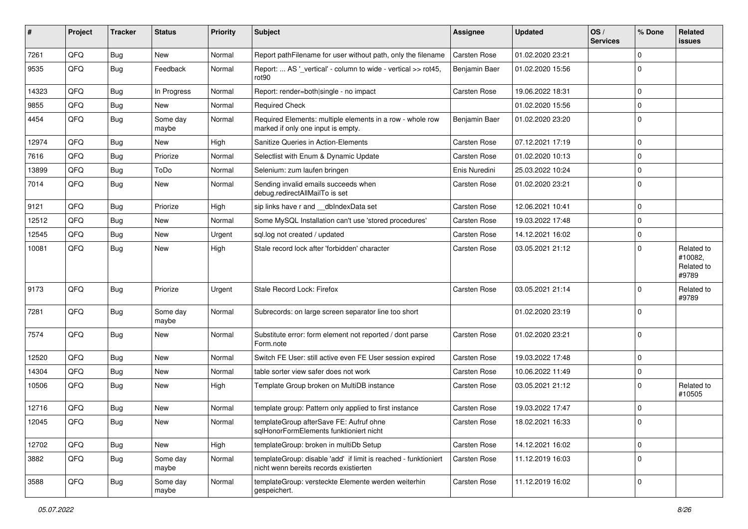| $\pmb{\#}$ | Project | <b>Tracker</b> | <b>Status</b>     | <b>Priority</b> | <b>Subject</b>                                                                                            | Assignee            | <b>Updated</b>   | OS/<br><b>Services</b> | % Done              | Related<br>issues                            |
|------------|---------|----------------|-------------------|-----------------|-----------------------------------------------------------------------------------------------------------|---------------------|------------------|------------------------|---------------------|----------------------------------------------|
| 7261       | QFQ     | Bug            | New               | Normal          | Report pathFilename for user without path, only the filename                                              | <b>Carsten Rose</b> | 01.02.2020 23:21 |                        | 0                   |                                              |
| 9535       | QFQ     | Bug            | Feedback          | Normal          | Report:  AS ' vertical' - column to wide - vertical >> rot45,<br>rot <sub>90</sub>                        | Benjamin Baer       | 01.02.2020 15:56 |                        | $\Omega$            |                                              |
| 14323      | QFQ     | Bug            | In Progress       | Normal          | Report: render=both single - no impact                                                                    | Carsten Rose        | 19.06.2022 18:31 |                        | $\mathbf 0$         |                                              |
| 9855       | QFQ     | Bug            | New               | Normal          | <b>Required Check</b>                                                                                     |                     | 01.02.2020 15:56 |                        | $\mathbf 0$         |                                              |
| 4454       | QFQ     | Bug            | Some day<br>maybe | Normal          | Required Elements: multiple elements in a row - whole row<br>marked if only one input is empty.           | Benjamin Baer       | 01.02.2020 23:20 |                        | $\mathbf 0$         |                                              |
| 12974      | QFQ     | Bug            | New               | High            | Sanitize Queries in Action-Elements                                                                       | Carsten Rose        | 07.12.2021 17:19 |                        | $\mathbf 0$         |                                              |
| 7616       | QFQ     | Bug            | Priorize          | Normal          | Selectlist with Enum & Dynamic Update                                                                     | Carsten Rose        | 01.02.2020 10:13 |                        | $\mathbf 0$         |                                              |
| 13899      | QFQ     | Bug            | ToDo              | Normal          | Selenium: zum laufen bringen                                                                              | Enis Nuredini       | 25.03.2022 10:24 |                        | $\mathbf 0$         |                                              |
| 7014       | QFQ     | Bug            | New               | Normal          | Sending invalid emails succeeds when<br>debug.redirectAllMailTo is set                                    | Carsten Rose        | 01.02.2020 23:21 |                        | $\mathbf 0$         |                                              |
| 9121       | QFQ     | Bug            | Priorize          | High            | sip links have r and __dbIndexData set                                                                    | Carsten Rose        | 12.06.2021 10:41 |                        | $\mathbf 0$         |                                              |
| 12512      | QFQ     | <b>Bug</b>     | <b>New</b>        | Normal          | Some MySQL Installation can't use 'stored procedures'                                                     | Carsten Rose        | 19.03.2022 17:48 |                        | $\mathbf 0$         |                                              |
| 12545      | QFQ     | Bug            | New               | Urgent          | sql.log not created / updated                                                                             | Carsten Rose        | 14.12.2021 16:02 |                        | $\mathbf 0$         |                                              |
| 10081      | QFQ     | Bug            | New               | High            | Stale record lock after 'forbidden' character                                                             | Carsten Rose        | 03.05.2021 21:12 |                        | $\Omega$            | Related to<br>#10082,<br>Related to<br>#9789 |
| 9173       | QFQ     | <b>Bug</b>     | Priorize          | Urgent          | Stale Record Lock: Firefox                                                                                | Carsten Rose        | 03.05.2021 21:14 |                        | $\Omega$            | Related to<br>#9789                          |
| 7281       | QFQ     | Bug            | Some day<br>maybe | Normal          | Subrecords: on large screen separator line too short                                                      |                     | 01.02.2020 23:19 |                        | $\mathbf 0$         |                                              |
| 7574       | QFQ     | Bug            | New               | Normal          | Substitute error: form element not reported / dont parse<br>Form.note                                     | Carsten Rose        | 01.02.2020 23:21 |                        | $\Omega$            |                                              |
| 12520      | QFQ     | Bug            | New               | Normal          | Switch FE User: still active even FE User session expired                                                 | Carsten Rose        | 19.03.2022 17:48 |                        | $\mathbf 0$         |                                              |
| 14304      | QFQ     | <b>Bug</b>     | New               | Normal          | table sorter view safer does not work                                                                     | Carsten Rose        | 10.06.2022 11:49 |                        | $\mathbf 0$         |                                              |
| 10506      | QFQ     | Bug            | New               | High            | Template Group broken on MultiDB instance                                                                 | Carsten Rose        | 03.05.2021 21:12 |                        | $\mathbf 0$         | Related to<br>#10505                         |
| 12716      | QFQ     | Bug            | New               | Normal          | template group: Pattern only applied to first instance                                                    | Carsten Rose        | 19.03.2022 17:47 |                        | $\mathbf 0$         |                                              |
| 12045      | QFQ     | i Bug          | New               | Normal          | templateGroup afterSave FE: Aufruf ohne<br>sqlHonorFormElements funktioniert nicht                        | <b>Carsten Rose</b> | 18.02.2021 16:33 |                        | $\overline{0}$      |                                              |
| 12702      | QFQ     | Bug            | New               | High            | templateGroup: broken in multiDb Setup                                                                    | Carsten Rose        | 14.12.2021 16:02 |                        | $\mathsf{O}\xspace$ |                                              |
| 3882       | QFQ     | <b>Bug</b>     | Some day<br>maybe | Normal          | templateGroup: disable 'add' if limit is reached - funktioniert<br>nicht wenn bereits records existierten | Carsten Rose        | 11.12.2019 16:03 |                        | $\mathbf 0$         |                                              |
| 3588       | QFQ     | Bug            | Some day<br>maybe | Normal          | templateGroup: versteckte Elemente werden weiterhin<br>gespeichert.                                       | Carsten Rose        | 11.12.2019 16:02 |                        | $\mathbf 0$         |                                              |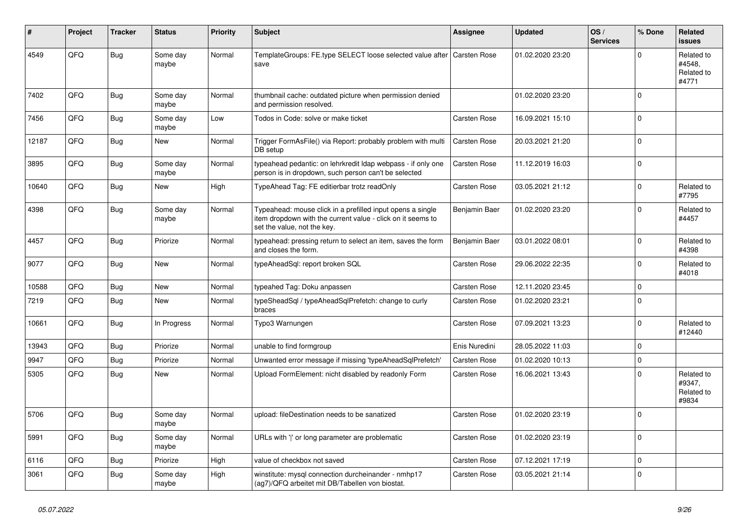| #     | Project | <b>Tracker</b> | <b>Status</b>     | <b>Priority</b> | <b>Subject</b>                                                                                                                                           | Assignee            | <b>Updated</b>   | OS/<br><b>Services</b> | % Done   | Related<br><b>issues</b>                    |
|-------|---------|----------------|-------------------|-----------------|----------------------------------------------------------------------------------------------------------------------------------------------------------|---------------------|------------------|------------------------|----------|---------------------------------------------|
| 4549  | QFQ     | <b>Bug</b>     | Some day<br>maybe | Normal          | TemplateGroups: FE.type SELECT loose selected value after<br>save                                                                                        | <b>Carsten Rose</b> | 01.02.2020 23:20 |                        | $\Omega$ | Related to<br>#4548,<br>Related to<br>#4771 |
| 7402  | QFQ     | <b>Bug</b>     | Some day<br>maybe | Normal          | thumbnail cache: outdated picture when permission denied<br>and permission resolved.                                                                     |                     | 01.02.2020 23:20 |                        | $\Omega$ |                                             |
| 7456  | QFQ     | <b>Bug</b>     | Some day<br>maybe | Low             | Todos in Code: solve or make ticket                                                                                                                      | Carsten Rose        | 16.09.2021 15:10 |                        | $\Omega$ |                                             |
| 12187 | QFQ     | Bug            | New               | Normal          | Trigger FormAsFile() via Report: probably problem with multi<br>DB setup                                                                                 | Carsten Rose        | 20.03.2021 21:20 |                        | $\Omega$ |                                             |
| 3895  | QFQ     | <b>Bug</b>     | Some day<br>maybe | Normal          | typeahead pedantic: on lehrkredit Idap webpass - if only one<br>person is in dropdown, such person can't be selected                                     | <b>Carsten Rose</b> | 11.12.2019 16:03 |                        | $\Omega$ |                                             |
| 10640 | QFQ     | Bug            | <b>New</b>        | High            | TypeAhead Tag: FE editierbar trotz readOnly                                                                                                              | Carsten Rose        | 03.05.2021 21:12 |                        | $\Omega$ | Related to<br>#7795                         |
| 4398  | QFQ     | Bug            | Some day<br>maybe | Normal          | Typeahead: mouse click in a prefilled input opens a single<br>item dropdown with the current value - click on it seems to<br>set the value, not the key. | Benjamin Baer       | 01.02.2020 23:20 |                        | $\Omega$ | Related to<br>#4457                         |
| 4457  | QFQ     | <b>Bug</b>     | Priorize          | Normal          | typeahead: pressing return to select an item, saves the form<br>and closes the form.                                                                     | Benjamin Baer       | 03.01.2022 08:01 |                        | $\Omega$ | Related to<br>#4398                         |
| 9077  | QFQ     | Bug            | New               | Normal          | typeAheadSql: report broken SQL                                                                                                                          | <b>Carsten Rose</b> | 29.06.2022 22:35 |                        | $\Omega$ | Related to<br>#4018                         |
| 10588 | QFQ     | <b>Bug</b>     | New               | Normal          | typeahed Tag: Doku anpassen                                                                                                                              | <b>Carsten Rose</b> | 12.11.2020 23:45 |                        | 0        |                                             |
| 7219  | QFQ     | Bug            | New               | Normal          | typeSheadSql / typeAheadSqlPrefetch: change to curly<br>braces                                                                                           | <b>Carsten Rose</b> | 01.02.2020 23:21 |                        | $\Omega$ |                                             |
| 10661 | QFQ     | Bug            | In Progress       | Normal          | Typo3 Warnungen                                                                                                                                          | Carsten Rose        | 07.09.2021 13:23 |                        | $\Omega$ | Related to<br>#12440                        |
| 13943 | QFQ     | Bug            | Priorize          | Normal          | unable to find formgroup                                                                                                                                 | Enis Nuredini       | 28.05.2022 11:03 |                        | $\Omega$ |                                             |
| 9947  | QFQ     | Bug            | Priorize          | Normal          | Unwanted error message if missing 'typeAheadSqlPrefetch'                                                                                                 | <b>Carsten Rose</b> | 01.02.2020 10:13 |                        | $\Omega$ |                                             |
| 5305  | QFQ     | Bug            | New               | Normal          | Upload FormElement: nicht disabled by readonly Form                                                                                                      | <b>Carsten Rose</b> | 16.06.2021 13:43 |                        | $\Omega$ | Related to<br>#9347,<br>Related to<br>#9834 |
| 5706  | QFQ     | Bug            | Some day<br>maybe | Normal          | upload: fileDestination needs to be sanatized                                                                                                            | Carsten Rose        | 01.02.2020 23:19 |                        | $\Omega$ |                                             |
| 5991  | QFQ     | Bug            | Some day<br>maybe | Normal          | URLs with 'I' or long parameter are problematic                                                                                                          | <b>Carsten Rose</b> | 01.02.2020 23:19 |                        | 0        |                                             |
| 6116  | QFQ     | Bug            | Priorize          | High            | value of checkbox not saved                                                                                                                              | Carsten Rose        | 07.12.2021 17:19 |                        | $\Omega$ |                                             |
| 3061  | QFQ     | <b>Bug</b>     | Some day<br>maybe | High            | winstitute: mysql connection durcheinander - nmhp17<br>(ag7)/QFQ arbeitet mit DB/Tabellen von biostat.                                                   | <b>Carsten Rose</b> | 03.05.2021 21:14 |                        | $\Omega$ |                                             |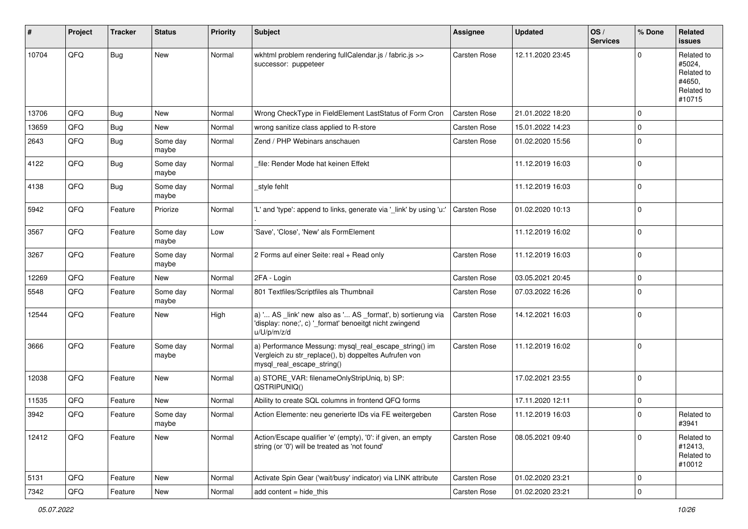| #     | Project | <b>Tracker</b> | <b>Status</b>     | <b>Priority</b> | <b>Subject</b>                                                                                                                               | <b>Assignee</b>     | <b>Updated</b>   | OS/<br><b>Services</b> | % Done         | Related<br>issues                                                    |
|-------|---------|----------------|-------------------|-----------------|----------------------------------------------------------------------------------------------------------------------------------------------|---------------------|------------------|------------------------|----------------|----------------------------------------------------------------------|
| 10704 | QFQ     | Bug            | New               | Normal          | wkhtml problem rendering fullCalendar.js / fabric.js >><br>successor: puppeteer                                                              | Carsten Rose        | 12.11.2020 23:45 |                        | O              | Related to<br>#5024,<br>Related to<br>#4650,<br>Related to<br>#10715 |
| 13706 | QFQ     | Bug            | New               | Normal          | Wrong CheckType in FieldElement LastStatus of Form Cron                                                                                      | <b>Carsten Rose</b> | 21.01.2022 18:20 |                        | $\mathbf 0$    |                                                                      |
| 13659 | QFQ     | <b>Bug</b>     | New               | Normal          | wrong sanitize class applied to R-store                                                                                                      | Carsten Rose        | 15.01.2022 14:23 |                        | 0              |                                                                      |
| 2643  | QFQ     | Bug            | Some day<br>maybe | Normal          | Zend / PHP Webinars anschauen                                                                                                                | Carsten Rose        | 01.02.2020 15:56 |                        | $\Omega$       |                                                                      |
| 4122  | QFQ     | Bug            | Some day<br>maybe | Normal          | file: Render Mode hat keinen Effekt                                                                                                          |                     | 11.12.2019 16:03 |                        | $\Omega$       |                                                                      |
| 4138  | QFQ     | Bug            | Some day<br>maybe | Normal          | _style fehlt                                                                                                                                 |                     | 11.12.2019 16:03 |                        | $\mathbf 0$    |                                                                      |
| 5942  | QFQ     | Feature        | Priorize          | Normal          | 'L' and 'type': append to links, generate via '_link' by using 'u:'                                                                          | Carsten Rose        | 01.02.2020 10:13 |                        | $\mathbf 0$    |                                                                      |
| 3567  | QFQ     | Feature        | Some day<br>maybe | Low             | 'Save', 'Close', 'New' als FormElement                                                                                                       |                     | 11.12.2019 16:02 |                        | $\Omega$       |                                                                      |
| 3267  | QFQ     | Feature        | Some day<br>maybe | Normal          | 2 Forms auf einer Seite: real + Read only                                                                                                    | Carsten Rose        | 11.12.2019 16:03 |                        | $\Omega$       |                                                                      |
| 12269 | QFQ     | Feature        | New               | Normal          | 2FA - Login                                                                                                                                  | Carsten Rose        | 03.05.2021 20:45 |                        | 0              |                                                                      |
| 5548  | QFQ     | Feature        | Some day<br>maybe | Normal          | 801 Textfiles/Scriptfiles als Thumbnail                                                                                                      | Carsten Rose        | 07.03.2022 16:26 |                        | $\Omega$       |                                                                      |
| 12544 | QFQ     | Feature        | New               | High            | a) ' AS _link' new also as ' AS _format', b) sortierung via<br>'display: none;', c) '_format' benoeitgt nicht zwingend<br>u/U/p/m/z/d        | Carsten Rose        | 14.12.2021 16:03 |                        | $\Omega$       |                                                                      |
| 3666  | QFQ     | Feature        | Some day<br>maybe | Normal          | a) Performance Messung: mysql_real_escape_string() im<br>Vergleich zu str_replace(), b) doppeltes Aufrufen von<br>mysql_real_escape_string() | Carsten Rose        | 11.12.2019 16:02 |                        | $\overline{0}$ |                                                                      |
| 12038 | QFQ     | Feature        | New               | Normal          | a) STORE_VAR: filenameOnlyStripUniq, b) SP:<br>QSTRIPUNIQ()                                                                                  |                     | 17.02.2021 23:55 |                        | $\Omega$       |                                                                      |
| 11535 | QFQ     | Feature        | New               | Normal          | Ability to create SQL columns in frontend QFQ forms                                                                                          |                     | 17.11.2020 12:11 |                        | $\mathbf 0$    |                                                                      |
| 3942  | QFQ     | Feature        | Some day<br>maybe | Normal          | Action Elemente: neu generierte IDs via FE weitergeben                                                                                       | <b>Carsten Rose</b> | 11.12.2019 16:03 |                        | $\Omega$       | Related to<br>#3941                                                  |
| 12412 | QFQ     | Feature        | New               | Normal          | Action/Escape qualifier 'e' (empty), '0': if given, an empty<br>string (or '0') will be treated as 'not found'                               | Carsten Rose        | 08.05.2021 09:40 |                        | $\Omega$       | Related to<br>#12413,<br>Related to<br>#10012                        |
| 5131  | QFQ     | Feature        | New               | Normal          | Activate Spin Gear ('wait/busy' indicator) via LINK attribute                                                                                | Carsten Rose        | 01.02.2020 23:21 |                        | $\mathbf 0$    |                                                                      |
| 7342  | QFQ     | Feature        | New               | Normal          | add content = hide_this                                                                                                                      | Carsten Rose        | 01.02.2020 23:21 |                        | 0              |                                                                      |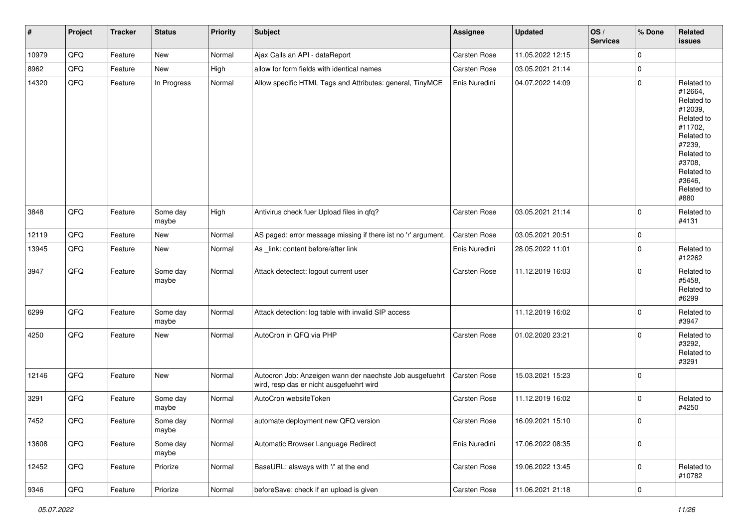| #     | Project        | <b>Tracker</b> | <b>Status</b>     | <b>Priority</b> | <b>Subject</b>                                                                                       | <b>Assignee</b> | <b>Updated</b>   | OS/<br><b>Services</b> | % Done         | Related<br>issues                                                                                                                                                     |
|-------|----------------|----------------|-------------------|-----------------|------------------------------------------------------------------------------------------------------|-----------------|------------------|------------------------|----------------|-----------------------------------------------------------------------------------------------------------------------------------------------------------------------|
| 10979 | QFQ            | Feature        | New               | Normal          | Ajax Calls an API - dataReport                                                                       | Carsten Rose    | 11.05.2022 12:15 |                        | $\mathbf 0$    |                                                                                                                                                                       |
| 8962  | QFQ            | Feature        | New               | High            | allow for form fields with identical names                                                           | Carsten Rose    | 03.05.2021 21:14 |                        | $\mathbf 0$    |                                                                                                                                                                       |
| 14320 | QFQ            | Feature        | In Progress       | Normal          | Allow specific HTML Tags and Attributes: general, TinyMCE                                            | Enis Nuredini   | 04.07.2022 14:09 |                        | $\Omega$       | Related to<br>#12664,<br>Related to<br>#12039,<br>Related to<br>#11702,<br>Related to<br>#7239,<br>Related to<br>#3708,<br>Related to<br>#3646,<br>Related to<br>#880 |
| 3848  | QFQ            | Feature        | Some day<br>maybe | High            | Antivirus check fuer Upload files in qfq?                                                            | Carsten Rose    | 03.05.2021 21:14 |                        | $\Omega$       | Related to<br>#4131                                                                                                                                                   |
| 12119 | QFQ            | Feature        | New               | Normal          | AS paged: error message missing if there ist no 'r' argument.                                        | Carsten Rose    | 03.05.2021 20:51 |                        | $\mathbf 0$    |                                                                                                                                                                       |
| 13945 | QFQ            | Feature        | New               | Normal          | As _link: content before/after link                                                                  | Enis Nuredini   | 28.05.2022 11:01 |                        | $\Omega$       | Related to<br>#12262                                                                                                                                                  |
| 3947  | QFQ            | Feature        | Some day<br>maybe | Normal          | Attack detectect: logout current user                                                                | Carsten Rose    | 11.12.2019 16:03 |                        | $\Omega$       | Related to<br>#5458,<br>Related to<br>#6299                                                                                                                           |
| 6299  | QFQ            | Feature        | Some day<br>maybe | Normal          | Attack detection: log table with invalid SIP access                                                  |                 | 11.12.2019 16:02 |                        | $\mathbf 0$    | Related to<br>#3947                                                                                                                                                   |
| 4250  | QFQ            | Feature        | New               | Normal          | AutoCron in QFQ via PHP                                                                              | Carsten Rose    | 01.02.2020 23:21 |                        | $\Omega$       | Related to<br>#3292,<br>Related to<br>#3291                                                                                                                           |
| 12146 | QFQ            | Feature        | <b>New</b>        | Normal          | Autocron Job: Anzeigen wann der naechste Job ausgefuehrt<br>wird, resp das er nicht ausgefuehrt wird | Carsten Rose    | 15.03.2021 15:23 |                        | $\mathbf 0$    |                                                                                                                                                                       |
| 3291  | QFQ            | Feature        | Some day<br>maybe | Normal          | AutoCron websiteToken                                                                                | Carsten Rose    | 11.12.2019 16:02 |                        | $\Omega$       | Related to<br>#4250                                                                                                                                                   |
| 7452  | QFQ            | Feature        | Some day<br>maybe | Normal          | automate deployment new QFQ version                                                                  | Carsten Rose    | 16.09.2021 15:10 |                        | $\overline{0}$ |                                                                                                                                                                       |
| 13608 | QFQ            | Feature        | Some day<br>maybe | Normal          | Automatic Browser Language Redirect                                                                  | Enis Nuredini   | 17.06.2022 08:35 |                        | $\mathbf 0$    |                                                                                                                                                                       |
| 12452 | QFQ            | Feature        | Priorize          | Normal          | BaseURL: alsways with '/' at the end                                                                 | Carsten Rose    | 19.06.2022 13:45 |                        | $\mathbf 0$    | Related to<br>#10782                                                                                                                                                  |
| 9346  | $\mathsf{QFQ}$ | Feature        | Priorize          | Normal          | beforeSave: check if an upload is given                                                              | Carsten Rose    | 11.06.2021 21:18 |                        | $\pmb{0}$      |                                                                                                                                                                       |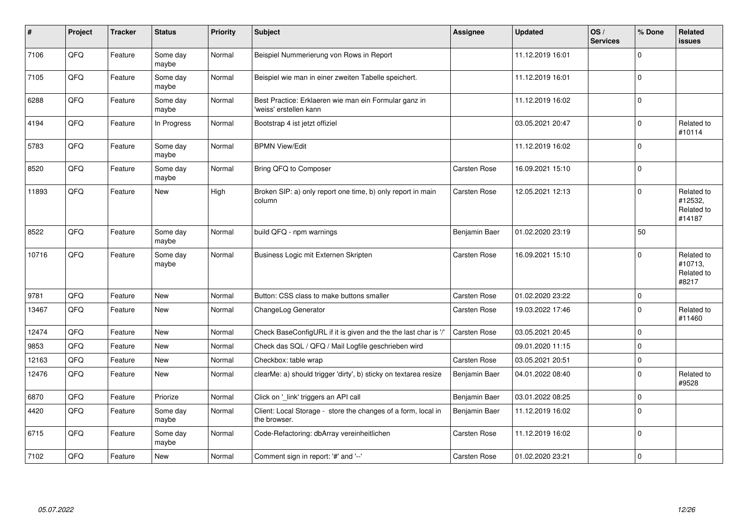| #     | Project | <b>Tracker</b> | <b>Status</b>     | <b>Priority</b> | <b>Subject</b>                                                                  | <b>Assignee</b> | <b>Updated</b>   | OS/<br><b>Services</b> | % Done         | Related<br><b>issues</b>                      |
|-------|---------|----------------|-------------------|-----------------|---------------------------------------------------------------------------------|-----------------|------------------|------------------------|----------------|-----------------------------------------------|
| 7106  | QFQ     | Feature        | Some day<br>maybe | Normal          | Beispiel Nummerierung von Rows in Report                                        |                 | 11.12.2019 16:01 |                        | $\Omega$       |                                               |
| 7105  | QFQ     | Feature        | Some day<br>maybe | Normal          | Beispiel wie man in einer zweiten Tabelle speichert.                            |                 | 11.12.2019 16:01 |                        | $\Omega$       |                                               |
| 6288  | QFQ     | Feature        | Some day<br>maybe | Normal          | Best Practice: Erklaeren wie man ein Formular ganz in<br>'weiss' erstellen kann |                 | 11.12.2019 16:02 |                        | $\overline{0}$ |                                               |
| 4194  | QFQ     | Feature        | In Progress       | Normal          | Bootstrap 4 ist jetzt offiziel                                                  |                 | 03.05.2021 20:47 |                        | $\mathbf{0}$   | Related to<br>#10114                          |
| 5783  | QFQ     | Feature        | Some day<br>maybe | Normal          | <b>BPMN View/Edit</b>                                                           |                 | 11.12.2019 16:02 |                        | $\Omega$       |                                               |
| 8520  | QFQ     | Feature        | Some day<br>maybe | Normal          | Bring QFQ to Composer                                                           | Carsten Rose    | 16.09.2021 15:10 |                        | $\Omega$       |                                               |
| 11893 | QFQ     | Feature        | <b>New</b>        | High            | Broken SIP: a) only report one time, b) only report in main<br>column           | Carsten Rose    | 12.05.2021 12:13 |                        | $\Omega$       | Related to<br>#12532,<br>Related to<br>#14187 |
| 8522  | QFQ     | Feature        | Some day<br>maybe | Normal          | build QFQ - npm warnings                                                        | Benjamin Baer   | 01.02.2020 23:19 |                        | 50             |                                               |
| 10716 | QFQ     | Feature        | Some day<br>maybe | Normal          | Business Logic mit Externen Skripten                                            | Carsten Rose    | 16.09.2021 15:10 |                        | $\Omega$       | Related to<br>#10713,<br>Related to<br>#8217  |
| 9781  | QFQ     | Feature        | <b>New</b>        | Normal          | Button: CSS class to make buttons smaller                                       | Carsten Rose    | 01.02.2020 23:22 |                        | $\mathbf 0$    |                                               |
| 13467 | QFQ     | Feature        | <b>New</b>        | Normal          | ChangeLog Generator                                                             | Carsten Rose    | 19.03.2022 17:46 |                        | $\mathbf 0$    | Related to<br>#11460                          |
| 12474 | QFQ     | Feature        | <b>New</b>        | Normal          | Check BaseConfigURL if it is given and the the last char is '/'                 | Carsten Rose    | 03.05.2021 20:45 |                        | $\Omega$       |                                               |
| 9853  | QFQ     | Feature        | <b>New</b>        | Normal          | Check das SQL / QFQ / Mail Logfile geschrieben wird                             |                 | 09.01.2020 11:15 |                        | $\Omega$       |                                               |
| 12163 | QFQ     | Feature        | <b>New</b>        | Normal          | Checkbox: table wrap                                                            | Carsten Rose    | 03.05.2021 20:51 |                        | $\mathbf 0$    |                                               |
| 12476 | QFQ     | Feature        | New               | Normal          | clearMe: a) should trigger 'dirty', b) sticky on textarea resize                | Benjamin Baer   | 04.01.2022 08:40 |                        | $\mathbf 0$    | Related to<br>#9528                           |
| 6870  | QFQ     | Feature        | Priorize          | Normal          | Click on '_link' triggers an API call                                           | Benjamin Baer   | 03.01.2022 08:25 |                        | $\mathbf 0$    |                                               |
| 4420  | QFQ     | Feature        | Some day<br>maybe | Normal          | Client: Local Storage - store the changes of a form, local in<br>the browser.   | Benjamin Baer   | 11.12.2019 16:02 |                        | $\Omega$       |                                               |
| 6715  | QFQ     | Feature        | Some day<br>maybe | Normal          | Code-Refactoring: dbArray vereinheitlichen                                      | Carsten Rose    | 11.12.2019 16:02 |                        | $\mathbf{0}$   |                                               |
| 7102  | QFQ     | Feature        | <b>New</b>        | Normal          | Comment sign in report: '#' and '--'                                            | Carsten Rose    | 01.02.2020 23:21 |                        | $\mathbf 0$    |                                               |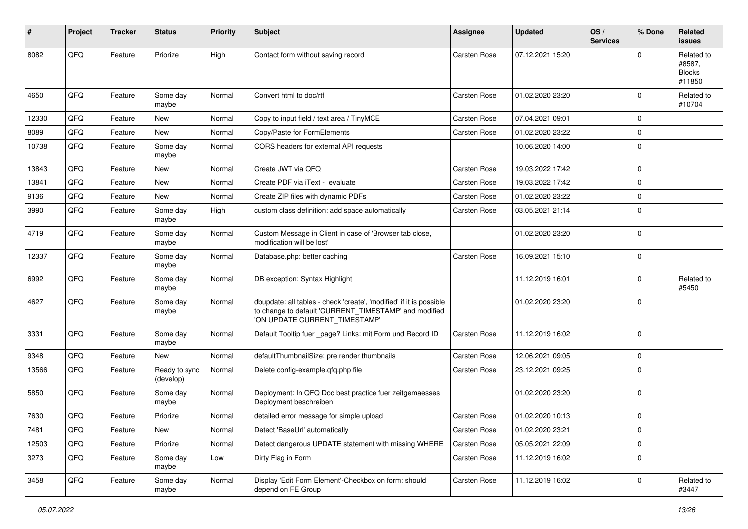| ∦     | Project | <b>Tracker</b> | <b>Status</b>              | <b>Priority</b> | Subject                                                                                                                                                       | <b>Assignee</b>     | <b>Updated</b>   | OS/<br><b>Services</b> | % Done      | Related<br><b>issues</b>                        |
|-------|---------|----------------|----------------------------|-----------------|---------------------------------------------------------------------------------------------------------------------------------------------------------------|---------------------|------------------|------------------------|-------------|-------------------------------------------------|
| 8082  | QFQ     | Feature        | Priorize                   | High            | Contact form without saving record                                                                                                                            | <b>Carsten Rose</b> | 07.12.2021 15:20 |                        | $\Omega$    | Related to<br>#8587,<br><b>Blocks</b><br>#11850 |
| 4650  | QFQ     | Feature        | Some day<br>maybe          | Normal          | Convert html to doc/rtf                                                                                                                                       | <b>Carsten Rose</b> | 01.02.2020 23:20 |                        | $\Omega$    | Related to<br>#10704                            |
| 12330 | QFQ     | Feature        | <b>New</b>                 | Normal          | Copy to input field / text area / TinyMCE                                                                                                                     | <b>Carsten Rose</b> | 07.04.2021 09:01 |                        | $\mathbf 0$ |                                                 |
| 8089  | QFQ     | Feature        | New                        | Normal          | Copy/Paste for FormElements                                                                                                                                   | <b>Carsten Rose</b> | 01.02.2020 23:22 |                        | 0           |                                                 |
| 10738 | QFQ     | Feature        | Some day<br>maybe          | Normal          | CORS headers for external API requests                                                                                                                        |                     | 10.06.2020 14:00 |                        | $\Omega$    |                                                 |
| 13843 | QFQ     | Feature        | <b>New</b>                 | Normal          | Create JWT via QFQ                                                                                                                                            | <b>Carsten Rose</b> | 19.03.2022 17:42 |                        | $\Omega$    |                                                 |
| 13841 | QFQ     | Feature        | <b>New</b>                 | Normal          | Create PDF via iText - evaluate                                                                                                                               | <b>Carsten Rose</b> | 19.03.2022 17:42 |                        | $\mathbf 0$ |                                                 |
| 9136  | QFQ     | Feature        | New                        | Normal          | Create ZIP files with dynamic PDFs                                                                                                                            | <b>Carsten Rose</b> | 01.02.2020 23:22 |                        | $\mathbf 0$ |                                                 |
| 3990  | QFQ     | Feature        | Some day<br>maybe          | High            | custom class definition: add space automatically                                                                                                              | Carsten Rose        | 03.05.2021 21:14 |                        | $\Omega$    |                                                 |
| 4719  | QFQ     | Feature        | Some day<br>maybe          | Normal          | Custom Message in Client in case of 'Browser tab close,<br>modification will be lost'                                                                         |                     | 01.02.2020 23:20 |                        | $\Omega$    |                                                 |
| 12337 | QFQ     | Feature        | Some day<br>maybe          | Normal          | Database.php: better caching                                                                                                                                  | <b>Carsten Rose</b> | 16.09.2021 15:10 |                        | $\mathbf 0$ |                                                 |
| 6992  | QFQ     | Feature        | Some dav<br>maybe          | Normal          | DB exception: Syntax Highlight                                                                                                                                |                     | 11.12.2019 16:01 |                        | $\mathbf 0$ | Related to<br>#5450                             |
| 4627  | QFQ     | Feature        | Some day<br>maybe          | Normal          | dbupdate: all tables - check 'create', 'modified' if it is possible<br>to change to default 'CURRENT_TIMESTAMP' and modified<br>'ON UPDATE CURRENT_TIMESTAMP' |                     | 01.02.2020 23:20 |                        | $\Omega$    |                                                 |
| 3331  | QFQ     | Feature        | Some day<br>maybe          | Normal          | Default Tooltip fuer _page? Links: mit Form und Record ID                                                                                                     | <b>Carsten Rose</b> | 11.12.2019 16:02 |                        | $\mathbf 0$ |                                                 |
| 9348  | QFQ     | Feature        | New                        | Normal          | defaultThumbnailSize: pre render thumbnails                                                                                                                   | <b>Carsten Rose</b> | 12.06.2021 09:05 |                        | $\mathbf 0$ |                                                 |
| 13566 | QFQ     | Feature        | Ready to sync<br>(develop) | Normal          | Delete config-example.qfq.php file                                                                                                                            | <b>Carsten Rose</b> | 23.12.2021 09:25 |                        | $\mathbf 0$ |                                                 |
| 5850  | QFQ     | Feature        | Some day<br>maybe          | Normal          | Deployment: In QFQ Doc best practice fuer zeitgemaesses<br>Deployment beschreiben                                                                             |                     | 01.02.2020 23:20 |                        | $\Omega$    |                                                 |
| 7630  | QFQ     | Feature        | Priorize                   | Normal          | detailed error message for simple upload                                                                                                                      | <b>Carsten Rose</b> | 01.02.2020 10:13 |                        | $\mathbf 0$ |                                                 |
| 7481  | QFQ     | Feature        | New                        | Normal          | Detect 'BaseUrl' automatically                                                                                                                                | Carsten Rose        | 01.02.2020 23:21 |                        | $\mathbf 0$ |                                                 |
| 12503 | QFQ     | Feature        | Priorize                   | Normal          | Detect dangerous UPDATE statement with missing WHERE                                                                                                          | Carsten Rose        | 05.05.2021 22:09 |                        | $\mathbf 0$ |                                                 |
| 3273  | QFQ     | Feature        | Some day<br>maybe          | Low             | Dirty Flag in Form                                                                                                                                            | Carsten Rose        | 11.12.2019 16:02 |                        | $\mathbf 0$ |                                                 |
| 3458  | QFG     | Feature        | Some day<br>maybe          | Normal          | Display 'Edit Form Element'-Checkbox on form: should<br>depend on FE Group                                                                                    | Carsten Rose        | 11.12.2019 16:02 |                        | $\mathbf 0$ | Related to<br>#3447                             |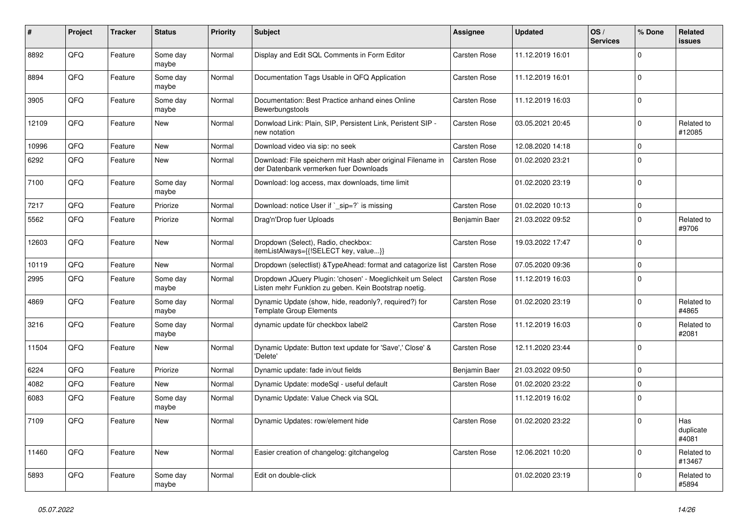| ∦     | Project | <b>Tracker</b> | <b>Status</b>     | Priority | <b>Subject</b>                                                                                                     | Assignee            | <b>Updated</b>   | OS/<br><b>Services</b> | % Done      | Related<br>issues         |
|-------|---------|----------------|-------------------|----------|--------------------------------------------------------------------------------------------------------------------|---------------------|------------------|------------------------|-------------|---------------------------|
| 8892  | QFQ     | Feature        | Some day<br>maybe | Normal   | Display and Edit SQL Comments in Form Editor                                                                       | <b>Carsten Rose</b> | 11.12.2019 16:01 |                        | $\Omega$    |                           |
| 8894  | QFQ     | Feature        | Some day<br>maybe | Normal   | Documentation Tags Usable in QFQ Application                                                                       | <b>Carsten Rose</b> | 11.12.2019 16:01 |                        | $\mathbf 0$ |                           |
| 3905  | QFQ     | Feature        | Some day<br>maybe | Normal   | Documentation: Best Practice anhand eines Online<br>Bewerbungstools                                                | <b>Carsten Rose</b> | 11.12.2019 16:03 |                        | $\Omega$    |                           |
| 12109 | QFQ     | Feature        | <b>New</b>        | Normal   | Donwload Link: Plain, SIP, Persistent Link, Peristent SIP -<br>new notation                                        | Carsten Rose        | 03.05.2021 20:45 |                        | $\Omega$    | Related to<br>#12085      |
| 10996 | QFQ     | Feature        | <b>New</b>        | Normal   | Download video via sip: no seek                                                                                    | <b>Carsten Rose</b> | 12.08.2020 14:18 |                        | $\Omega$    |                           |
| 6292  | QFQ     | Feature        | New               | Normal   | Download: File speichern mit Hash aber original Filename in<br>der Datenbank vermerken fuer Downloads              | Carsten Rose        | 01.02.2020 23:21 |                        | $\Omega$    |                           |
| 7100  | QFQ     | Feature        | Some day<br>maybe | Normal   | Download: log access, max downloads, time limit                                                                    |                     | 01.02.2020 23:19 |                        | $\Omega$    |                           |
| 7217  | QFQ     | Feature        | Priorize          | Normal   | Download: notice User if `_sip=?` is missing                                                                       | Carsten Rose        | 01.02.2020 10:13 |                        | $\mathbf 0$ |                           |
| 5562  | QFQ     | Feature        | Priorize          | Normal   | Drag'n'Drop fuer Uploads                                                                                           | Benjamin Baer       | 21.03.2022 09:52 |                        | $\mathbf 0$ | Related to<br>#9706       |
| 12603 | QFQ     | Feature        | <b>New</b>        | Normal   | Dropdown (Select), Radio, checkbox:<br>itemListAlways={{!SELECT key, value}}                                       | Carsten Rose        | 19.03.2022 17:47 |                        | $\Omega$    |                           |
| 10119 | QFQ     | Feature        | <b>New</b>        | Normal   | Dropdown (selectlist) & Type Ahead: format and catagorize list                                                     | <b>Carsten Rose</b> | 07.05.2020 09:36 |                        | $\Omega$    |                           |
| 2995  | QFQ     | Feature        | Some day<br>maybe | Normal   | Dropdown JQuery Plugin: 'chosen' - Moeglichkeit um Select<br>Listen mehr Funktion zu geben. Kein Bootstrap noetig. | <b>Carsten Rose</b> | 11.12.2019 16:03 |                        | $\Omega$    |                           |
| 4869  | QFQ     | Feature        | Some day<br>maybe | Normal   | Dynamic Update (show, hide, readonly?, required?) for<br><b>Template Group Elements</b>                            | Carsten Rose        | 01.02.2020 23:19 |                        | $\Omega$    | Related to<br>#4865       |
| 3216  | QFQ     | Feature        | Some day<br>maybe | Normal   | dynamic update für checkbox label2                                                                                 | Carsten Rose        | 11.12.2019 16:03 |                        | $\Omega$    | Related to<br>#2081       |
| 11504 | QFQ     | Feature        | New               | Normal   | Dynamic Update: Button text update for 'Save',' Close' &<br>'Delete'                                               | <b>Carsten Rose</b> | 12.11.2020 23:44 |                        | $\Omega$    |                           |
| 6224  | QFQ     | Feature        | Priorize          | Normal   | Dynamic update: fade in/out fields                                                                                 | Benjamin Baer       | 21.03.2022 09:50 |                        | $\Omega$    |                           |
| 4082  | QFQ     | Feature        | <b>New</b>        | Normal   | Dynamic Update: modeSgl - useful default                                                                           | Carsten Rose        | 01.02.2020 23:22 |                        | $\Omega$    |                           |
| 6083  | QFQ     | Feature        | Some day<br>maybe | Normal   | Dynamic Update: Value Check via SQL                                                                                |                     | 11.12.2019 16:02 |                        | $\Omega$    |                           |
| 7109  | QFQ     | Feature        | New               | Normal   | Dynamic Updates: row/element hide                                                                                  | <b>Carsten Rose</b> | 01.02.2020 23:22 |                        | $\Omega$    | Has<br>duplicate<br>#4081 |
| 11460 | QFQ     | Feature        | <b>New</b>        | Normal   | Easier creation of changelog: gitchangelog                                                                         | Carsten Rose        | 12.06.2021 10:20 |                        | $\Omega$    | Related to<br>#13467      |
| 5893  | QFQ     | Feature        | Some day<br>maybe | Normal   | Edit on double-click                                                                                               |                     | 01.02.2020 23:19 |                        | $\Omega$    | Related to<br>#5894       |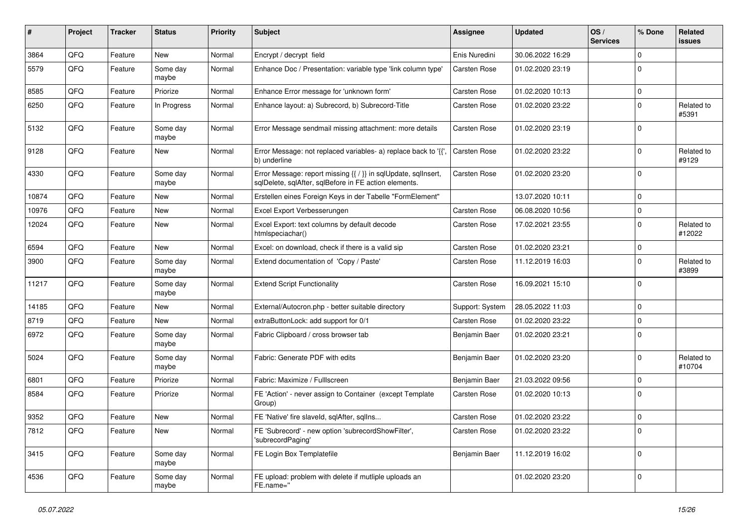| #     | Project | <b>Tracker</b> | <b>Status</b>     | <b>Priority</b> | <b>Subject</b>                                                                                                          | Assignee            | <b>Updated</b>   | OS/<br><b>Services</b> | % Done      | Related<br>issues    |
|-------|---------|----------------|-------------------|-----------------|-------------------------------------------------------------------------------------------------------------------------|---------------------|------------------|------------------------|-------------|----------------------|
| 3864  | QFQ     | Feature        | New               | Normal          | Encrypt / decrypt field                                                                                                 | Enis Nuredini       | 30.06.2022 16:29 |                        | $\Omega$    |                      |
| 5579  | QFQ     | Feature        | Some day<br>maybe | Normal          | Enhance Doc / Presentation: variable type 'link column type'                                                            | Carsten Rose        | 01.02.2020 23:19 |                        | 0           |                      |
| 8585  | QFQ     | Feature        | Priorize          | Normal          | Enhance Error message for 'unknown form'                                                                                | Carsten Rose        | 01.02.2020 10:13 |                        | 0           |                      |
| 6250  | QFQ     | Feature        | In Progress       | Normal          | Enhance layout: a) Subrecord, b) Subrecord-Title                                                                        | Carsten Rose        | 01.02.2020 23:22 |                        | 0           | Related to<br>#5391  |
| 5132  | QFQ     | Feature        | Some day<br>maybe | Normal          | Error Message sendmail missing attachment: more details                                                                 | Carsten Rose        | 01.02.2020 23:19 |                        | $\mathbf 0$ |                      |
| 9128  | QFQ     | Feature        | <b>New</b>        | Normal          | Error Message: not replaced variables- a) replace back to '{{',<br>b) underline                                         | Carsten Rose        | 01.02.2020 23:22 |                        | $\Omega$    | Related to<br>#9129  |
| 4330  | QFQ     | Feature        | Some day<br>maybe | Normal          | Error Message: report missing {{ / }} in sqlUpdate, sqlInsert,<br>sqlDelete, sqlAfter, sqlBefore in FE action elements. | <b>Carsten Rose</b> | 01.02.2020 23:20 |                        | $\Omega$    |                      |
| 10874 | QFQ     | Feature        | New               | Normal          | Erstellen eines Foreign Keys in der Tabelle "FormElement"                                                               |                     | 13.07.2020 10:11 |                        | 0           |                      |
| 10976 | QFQ     | Feature        | New               | Normal          | Excel Export Verbesserungen                                                                                             | Carsten Rose        | 06.08.2020 10:56 |                        | $\mathbf 0$ |                      |
| 12024 | QFQ     | Feature        | New               | Normal          | Excel Export: text columns by default decode<br>htmlspeciachar()                                                        | Carsten Rose        | 17.02.2021 23:55 |                        | 0           | Related to<br>#12022 |
| 6594  | QFQ     | Feature        | <b>New</b>        | Normal          | Excel: on download, check if there is a valid sip                                                                       | Carsten Rose        | 01.02.2020 23:21 |                        | 0           |                      |
| 3900  | QFQ     | Feature        | Some day<br>maybe | Normal          | Extend documentation of 'Copy / Paste'                                                                                  | Carsten Rose        | 11.12.2019 16:03 |                        | $\Omega$    | Related to<br>#3899  |
| 11217 | QFQ     | Feature        | Some day<br>maybe | Normal          | <b>Extend Script Functionality</b>                                                                                      | Carsten Rose        | 16.09.2021 15:10 |                        | $\mathbf 0$ |                      |
| 14185 | QFQ     | Feature        | New               | Normal          | External/Autocron.php - better suitable directory                                                                       | Support: System     | 28.05.2022 11:03 |                        | $\mathbf 0$ |                      |
| 8719  | QFQ     | Feature        | New               | Normal          | extraButtonLock: add support for 0/1                                                                                    | Carsten Rose        | 01.02.2020 23:22 |                        | 0           |                      |
| 6972  | QFQ     | Feature        | Some day<br>maybe | Normal          | Fabric Clipboard / cross browser tab                                                                                    | Benjamin Baer       | 01.02.2020 23:21 |                        | 0           |                      |
| 5024  | QFQ     | Feature        | Some day<br>maybe | Normal          | Fabric: Generate PDF with edits                                                                                         | Benjamin Baer       | 01.02.2020 23:20 |                        | $\Omega$    | Related to<br>#10704 |
| 6801  | QFQ     | Feature        | Priorize          | Normal          | Fabric: Maximize / FullIscreen                                                                                          | Benjamin Baer       | 21.03.2022 09:56 |                        | $\Omega$    |                      |
| 8584  | QFQ     | Feature        | Priorize          | Normal          | FE 'Action' - never assign to Container (except Template<br>Group)                                                      | Carsten Rose        | 01.02.2020 10:13 |                        | $\Omega$    |                      |
| 9352  | QFQ     | Feature        | <b>New</b>        | Normal          | FE 'Native' fire slaveld, sqlAfter, sqlIns                                                                              | Carsten Rose        | 01.02.2020 23:22 |                        | $\Omega$    |                      |
| 7812  | QFQ     | Feature        | New               | Normal          | FE 'Subrecord' - new option 'subrecordShowFilter',<br>'subrecordPaging'                                                 | Carsten Rose        | 01.02.2020 23:22 |                        | $\mathbf 0$ |                      |
| 3415  | QFQ     | Feature        | Some day<br>maybe | Normal          | FE Login Box Templatefile                                                                                               | Benjamin Baer       | 11.12.2019 16:02 |                        | $\mathbf 0$ |                      |
| 4536  | QFQ     | Feature        | Some day<br>maybe | Normal          | FE upload: problem with delete if mutliple uploads an<br>FE.name="                                                      |                     | 01.02.2020 23:20 |                        | 0           |                      |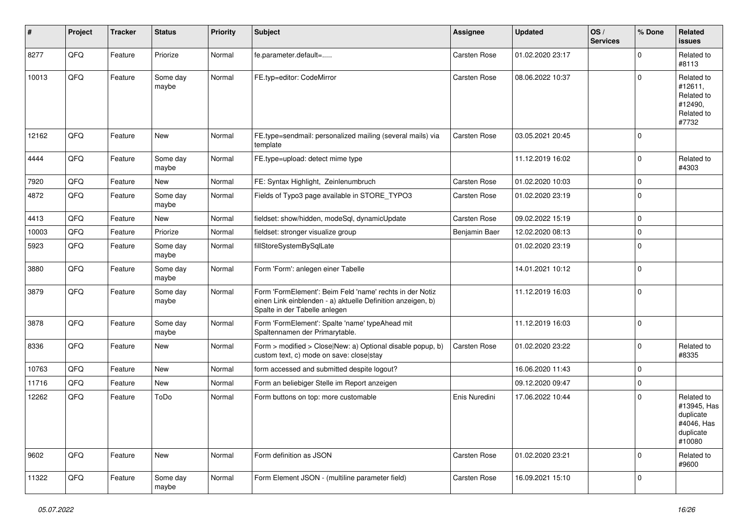| #     | Project | <b>Tracker</b> | <b>Status</b>     | <b>Priority</b> | Subject                                                                                                                                                  | <b>Assignee</b> | <b>Updated</b>   | OS/<br><b>Services</b> | % Done         | Related<br><b>issues</b>                                                    |
|-------|---------|----------------|-------------------|-----------------|----------------------------------------------------------------------------------------------------------------------------------------------------------|-----------------|------------------|------------------------|----------------|-----------------------------------------------------------------------------|
| 8277  | QFQ     | Feature        | Priorize          | Normal          | fe.parameter.default=                                                                                                                                    | Carsten Rose    | 01.02.2020 23:17 |                        | $\Omega$       | Related to<br>#8113                                                         |
| 10013 | QFQ     | Feature        | Some day<br>maybe | Normal          | FE.typ=editor: CodeMirror                                                                                                                                | Carsten Rose    | 08.06.2022 10:37 |                        | $\Omega$       | Related to<br>#12611,<br>Related to<br>#12490,<br>Related to<br>#7732       |
| 12162 | QFQ     | Feature        | New               | Normal          | FE.type=sendmail: personalized mailing (several mails) via<br>template                                                                                   | Carsten Rose    | 03.05.2021 20:45 |                        | $\Omega$       |                                                                             |
| 4444  | QFQ     | Feature        | Some day<br>maybe | Normal          | FE.type=upload: detect mime type                                                                                                                         |                 | 11.12.2019 16:02 |                        | $\Omega$       | Related to<br>#4303                                                         |
| 7920  | QFQ     | Feature        | New               | Normal          | FE: Syntax Highlight, Zeinlenumbruch                                                                                                                     | Carsten Rose    | 01.02.2020 10:03 |                        | $\Omega$       |                                                                             |
| 4872  | QFQ     | Feature        | Some day<br>maybe | Normal          | Fields of Typo3 page available in STORE_TYPO3                                                                                                            | Carsten Rose    | 01.02.2020 23:19 |                        | $\mathbf 0$    |                                                                             |
| 4413  | QFQ     | Feature        | New               | Normal          | fieldset: show/hidden, modeSql, dynamicUpdate                                                                                                            | Carsten Rose    | 09.02.2022 15:19 |                        | $\Omega$       |                                                                             |
| 10003 | QFQ     | Feature        | Priorize          | Normal          | fieldset: stronger visualize group                                                                                                                       | Benjamin Baer   | 12.02.2020 08:13 |                        | $\Omega$       |                                                                             |
| 5923  | QFQ     | Feature        | Some day<br>maybe | Normal          | fillStoreSystemBySqlLate                                                                                                                                 |                 | 01.02.2020 23:19 |                        | $\mathbf 0$    |                                                                             |
| 3880  | QFQ     | Feature        | Some day<br>maybe | Normal          | Form 'Form': anlegen einer Tabelle                                                                                                                       |                 | 14.01.2021 10:12 |                        | $\mathbf 0$    |                                                                             |
| 3879  | QFQ     | Feature        | Some day<br>maybe | Normal          | Form 'FormElement': Beim Feld 'name' rechts in der Notiz<br>einen Link einblenden - a) aktuelle Definition anzeigen, b)<br>Spalte in der Tabelle anlegen |                 | 11.12.2019 16:03 |                        | $\Omega$       |                                                                             |
| 3878  | QFQ     | Feature        | Some day<br>maybe | Normal          | Form 'FormElement': Spalte 'name' typeAhead mit<br>Spaltennamen der Primarytable.                                                                        |                 | 11.12.2019 16:03 |                        | $\mathbf 0$    |                                                                             |
| 8336  | QFQ     | Feature        | New               | Normal          | Form > modified > Close New: a) Optional disable popup, b)<br>custom text, c) mode on save: close stay                                                   | Carsten Rose    | 01.02.2020 23:22 |                        | $\Omega$       | Related to<br>#8335                                                         |
| 10763 | QFQ     | Feature        | New               | Normal          | form accessed and submitted despite logout?                                                                                                              |                 | 16.06.2020 11:43 |                        | 0              |                                                                             |
| 11716 | QFQ     | Feature        | New               | Normal          | Form an beliebiger Stelle im Report anzeigen                                                                                                             |                 | 09.12.2020 09:47 |                        | $\mathbf 0$    |                                                                             |
| 12262 | QFQ     | Feature        | ToDo              | Normal          | Form buttons on top: more customable                                                                                                                     | Enis Nuredini   | 17.06.2022 10:44 |                        | $\Omega$       | Related to<br>#13945, Has<br>duplicate<br>#4046, Has<br>duplicate<br>#10080 |
| 9602  | QFQ     | Feature        | New               | Normal          | Form definition as JSON                                                                                                                                  | Carsten Rose    | 01.02.2020 23:21 |                        | 0              | Related to<br>#9600                                                         |
| 11322 | QFQ     | Feature        | Some day<br>maybe | Normal          | Form Element JSON - (multiline parameter field)                                                                                                          | Carsten Rose    | 16.09.2021 15:10 |                        | $\overline{0}$ |                                                                             |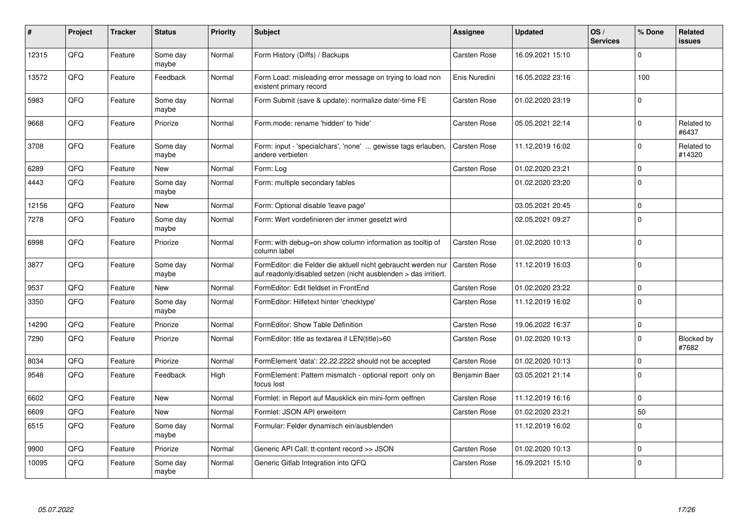| #     | Project | <b>Tracker</b> | <b>Status</b>     | <b>Priority</b> | Subject                                                                                                                          | Assignee            | <b>Updated</b>   | OS/<br><b>Services</b> | % Done       | Related<br><b>issues</b> |
|-------|---------|----------------|-------------------|-----------------|----------------------------------------------------------------------------------------------------------------------------------|---------------------|------------------|------------------------|--------------|--------------------------|
| 12315 | QFQ     | Feature        | Some day<br>maybe | Normal          | Form History (Diffs) / Backups                                                                                                   | Carsten Rose        | 16.09.2021 15:10 |                        | $\Omega$     |                          |
| 13572 | QFQ     | Feature        | Feedback          | Normal          | Form Load: misleading error message on trying to load non<br>existent primary record                                             | Enis Nuredini       | 16.05.2022 23:16 |                        | 100          |                          |
| 5983  | QFQ     | Feature        | Some day<br>maybe | Normal          | Form Submit (save & update): normalize date/-time FE                                                                             | Carsten Rose        | 01.02.2020 23:19 |                        | $\Omega$     |                          |
| 9668  | QFQ     | Feature        | Priorize          | Normal          | Form.mode: rename 'hidden' to 'hide'                                                                                             | Carsten Rose        | 05.05.2021 22:14 |                        | $\Omega$     | Related to<br>#6437      |
| 3708  | QFQ     | Feature        | Some day<br>maybe | Normal          | Form: input - 'specialchars', 'none'  gewisse tags erlauben,<br>andere verbieten                                                 | Carsten Rose        | 11.12.2019 16:02 |                        | $\Omega$     | Related to<br>#14320     |
| 6289  | QFQ     | Feature        | <b>New</b>        | Normal          | Form: Log                                                                                                                        | Carsten Rose        | 01.02.2020 23:21 |                        | $\Omega$     |                          |
| 4443  | QFQ     | Feature        | Some day<br>maybe | Normal          | Form: multiple secondary tables                                                                                                  |                     | 01.02.2020 23:20 |                        | $\mathbf{0}$ |                          |
| 12156 | QFQ     | Feature        | <b>New</b>        | Normal          | Form: Optional disable 'leave page'                                                                                              |                     | 03.05.2021 20:45 |                        | $\Omega$     |                          |
| 7278  | QFQ     | Feature        | Some day<br>maybe | Normal          | Form: Wert vordefinieren der immer gesetzt wird                                                                                  |                     | 02.05.2021 09:27 |                        | $\Omega$     |                          |
| 6998  | QFQ     | Feature        | Priorize          | Normal          | Form: with debug=on show column information as tooltip of<br>column label                                                        | Carsten Rose        | 01.02.2020 10:13 |                        | $\mathbf 0$  |                          |
| 3877  | QFQ     | Feature        | Some day<br>maybe | Normal          | FormEditor: die Felder die aktuell nicht gebraucht werden nur<br>auf readonly/disabled setzen (nicht ausblenden > das irritiert. | <b>Carsten Rose</b> | 11.12.2019 16:03 |                        | $\Omega$     |                          |
| 9537  | QFQ     | Feature        | New               | Normal          | FormEditor: Edit fieldset in FrontEnd                                                                                            | Carsten Rose        | 01.02.2020 23:22 |                        | $\mathbf 0$  |                          |
| 3350  | QFQ     | Feature        | Some day<br>maybe | Normal          | FormEditor: Hilfetext hinter 'checktype'                                                                                         | Carsten Rose        | 11.12.2019 16:02 |                        | $\Omega$     |                          |
| 14290 | QFQ     | Feature        | Priorize          | Normal          | FormEditor: Show Table Definition                                                                                                | Carsten Rose        | 19.06.2022 16:37 |                        | $\mathbf 0$  |                          |
| 7290  | QFQ     | Feature        | Priorize          | Normal          | FormEditor: title as textarea if LEN(title)>60                                                                                   | Carsten Rose        | 01.02.2020 10:13 |                        | $\Omega$     | Blocked by<br>#7682      |
| 8034  | QFQ     | Feature        | Priorize          | Normal          | FormElement 'data': 22.22.2222 should not be accepted                                                                            | Carsten Rose        | 01.02.2020 10:13 |                        | $\Omega$     |                          |
| 9548  | QFQ     | Feature        | Feedback          | High            | FormElement: Pattern mismatch - optional report only on<br>focus lost                                                            | Benjamin Baer       | 03.05.2021 21:14 |                        | $\Omega$     |                          |
| 6602  | QFQ     | Feature        | <b>New</b>        | Normal          | Formlet: in Report auf Mausklick ein mini-form oeffnen                                                                           | Carsten Rose        | 11.12.2019 16:16 |                        | $\Omega$     |                          |
| 6609  | QFQ     | Feature        | <b>New</b>        | Normal          | Formlet: JSON API erweitern                                                                                                      | Carsten Rose        | 01.02.2020 23:21 |                        | 50           |                          |
| 6515  | QFQ     | Feature        | Some day<br>maybe | Normal          | Formular: Felder dynamisch ein/ausblenden                                                                                        |                     | 11.12.2019 16:02 |                        | $\Omega$     |                          |
| 9900  | QFQ     | Feature        | Priorize          | Normal          | Generic API Call: tt-content record >> JSON                                                                                      | Carsten Rose        | 01.02.2020 10:13 |                        | $\mathbf 0$  |                          |
| 10095 | QFQ     | Feature        | Some day<br>maybe | Normal          | Generic Gitlab Integration into QFQ                                                                                              | Carsten Rose        | 16.09.2021 15:10 |                        | $\mathbf{0}$ |                          |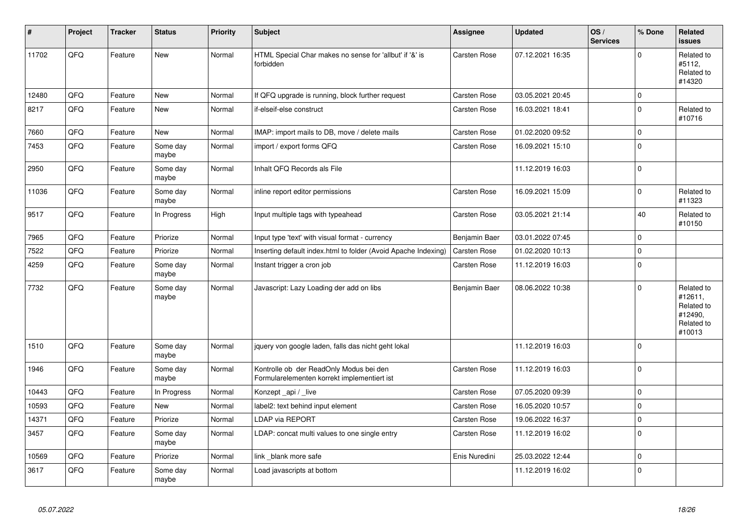| #     | <b>Project</b> | <b>Tracker</b> | <b>Status</b>     | Priority | <b>Subject</b>                                                                         | Assignee            | <b>Updated</b>   | OS/<br><b>Services</b> | % Done      | Related<br><b>issues</b>                                               |
|-------|----------------|----------------|-------------------|----------|----------------------------------------------------------------------------------------|---------------------|------------------|------------------------|-------------|------------------------------------------------------------------------|
| 11702 | QFQ            | Feature        | <b>New</b>        | Normal   | HTML Special Char makes no sense for 'allbut' if '&' is<br>forbidden                   | <b>Carsten Rose</b> | 07.12.2021 16:35 |                        | $\Omega$    | Related to<br>#5112,<br>Related to<br>#14320                           |
| 12480 | QFQ            | Feature        | New               | Normal   | If QFQ upgrade is running, block further request                                       | Carsten Rose        | 03.05.2021 20:45 |                        | $\mathbf 0$ |                                                                        |
| 8217  | QFQ            | Feature        | New               | Normal   | if-elseif-else construct                                                               | Carsten Rose        | 16.03.2021 18:41 |                        | $\mathbf 0$ | Related to<br>#10716                                                   |
| 7660  | QFQ            | Feature        | <b>New</b>        | Normal   | IMAP: import mails to DB, move / delete mails                                          | <b>Carsten Rose</b> | 01.02.2020 09:52 |                        | $\mathbf 0$ |                                                                        |
| 7453  | QFQ            | Feature        | Some day<br>maybe | Normal   | import / export forms QFQ                                                              | Carsten Rose        | 16.09.2021 15:10 |                        | $\Omega$    |                                                                        |
| 2950  | QFQ            | Feature        | Some day<br>maybe | Normal   | Inhalt QFQ Records als File                                                            |                     | 11.12.2019 16:03 |                        | $\Omega$    |                                                                        |
| 11036 | QFQ            | Feature        | Some day<br>maybe | Normal   | inline report editor permissions                                                       | Carsten Rose        | 16.09.2021 15:09 |                        | $\Omega$    | Related to<br>#11323                                                   |
| 9517  | QFQ            | Feature        | In Progress       | High     | Input multiple tags with typeahead                                                     | Carsten Rose        | 03.05.2021 21:14 |                        | 40          | Related to<br>#10150                                                   |
| 7965  | QFQ            | Feature        | Priorize          | Normal   | Input type 'text' with visual format - currency                                        | Benjamin Baer       | 03.01.2022 07:45 |                        | $\Omega$    |                                                                        |
| 7522  | QFQ            | Feature        | Priorize          | Normal   | Inserting default index.html to folder (Avoid Apache Indexing)                         | Carsten Rose        | 01.02.2020 10:13 |                        | $\Omega$    |                                                                        |
| 4259  | QFQ            | Feature        | Some day<br>maybe | Normal   | Instant trigger a cron job                                                             | Carsten Rose        | 11.12.2019 16:03 |                        | $\mathbf 0$ |                                                                        |
| 7732  | QFQ            | Feature        | Some day<br>maybe | Normal   | Javascript: Lazy Loading der add on libs                                               | Benjamin Baer       | 08.06.2022 10:38 |                        | $\Omega$    | Related to<br>#12611,<br>Related to<br>#12490,<br>Related to<br>#10013 |
| 1510  | QFQ            | Feature        | Some day<br>maybe | Normal   | jquery von google laden, falls das nicht geht lokal                                    |                     | 11.12.2019 16:03 |                        | $\Omega$    |                                                                        |
| 1946  | QFQ            | Feature        | Some day<br>maybe | Normal   | Kontrolle ob der ReadOnly Modus bei den<br>Formularelementen korrekt implementiert ist | <b>Carsten Rose</b> | 11.12.2019 16:03 |                        | $\Omega$    |                                                                        |
| 10443 | QFQ            | Feature        | In Progress       | Normal   | Konzept_api / _live                                                                    | <b>Carsten Rose</b> | 07.05.2020 09:39 |                        | $\mathbf 0$ |                                                                        |
| 10593 | QFQ            | Feature        | New               | Normal   | label2: text behind input element                                                      | Carsten Rose        | 16.05.2020 10:57 |                        | $\Omega$    |                                                                        |
| 14371 | QFQ            | Feature        | Priorize          | Normal   | <b>LDAP via REPORT</b>                                                                 | <b>Carsten Rose</b> | 19.06.2022 16:37 |                        | $\mathbf 0$ |                                                                        |
| 3457  | QFQ            | Feature        | Some day<br>maybe | Normal   | LDAP: concat multi values to one single entry                                          | Carsten Rose        | 11.12.2019 16:02 |                        | 0           |                                                                        |
| 10569 | QFQ            | Feature        | Priorize          | Normal   | link blank more safe                                                                   | Enis Nuredini       | 25.03.2022 12:44 |                        | $\Omega$    |                                                                        |
| 3617  | QFQ            | Feature        | Some day<br>maybe | Normal   | Load javascripts at bottom                                                             |                     | 11.12.2019 16:02 |                        | $\Omega$    |                                                                        |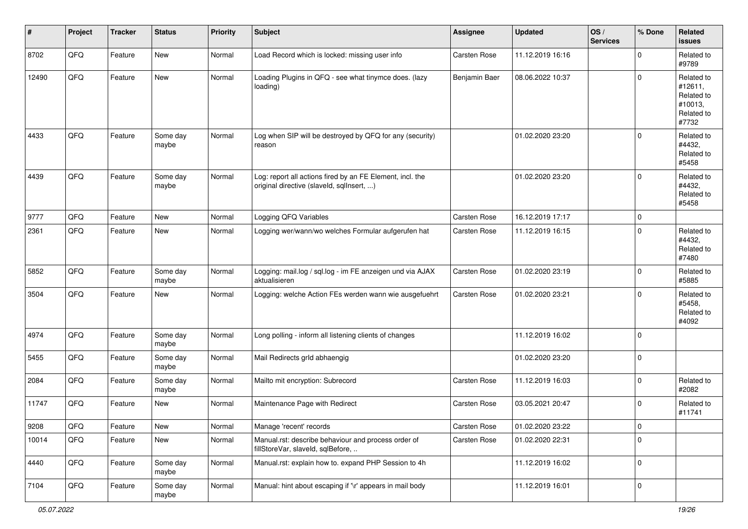| #     | Project | <b>Tracker</b> | <b>Status</b>     | <b>Priority</b> | <b>Subject</b>                                                                                         | <b>Assignee</b> | <b>Updated</b>   | OS/<br><b>Services</b> | % Done         | <b>Related</b><br><b>issues</b>                                       |
|-------|---------|----------------|-------------------|-----------------|--------------------------------------------------------------------------------------------------------|-----------------|------------------|------------------------|----------------|-----------------------------------------------------------------------|
| 8702  | QFQ     | Feature        | New               | Normal          | Load Record which is locked: missing user info                                                         | Carsten Rose    | 11.12.2019 16:16 |                        | $\mathbf 0$    | Related to<br>#9789                                                   |
| 12490 | QFQ     | Feature        | <b>New</b>        | Normal          | Loading Plugins in QFQ - see what tinymce does. (lazy<br>loading)                                      | Benjamin Baer   | 08.06.2022 10:37 |                        | $\overline{0}$ | Related to<br>#12611,<br>Related to<br>#10013,<br>Related to<br>#7732 |
| 4433  | QFQ     | Feature        | Some day<br>maybe | Normal          | Log when SIP will be destroyed by QFQ for any (security)<br>reason                                     |                 | 01.02.2020 23:20 |                        | $\mathbf 0$    | Related to<br>#4432,<br>Related to<br>#5458                           |
| 4439  | QFQ     | Feature        | Some day<br>maybe | Normal          | Log: report all actions fired by an FE Element, incl. the<br>original directive (slaveld, sqlInsert, ) |                 | 01.02.2020 23:20 |                        | $\overline{0}$ | Related to<br>#4432,<br>Related to<br>#5458                           |
| 9777  | QFQ     | Feature        | <b>New</b>        | Normal          | Logging QFQ Variables                                                                                  | Carsten Rose    | 16.12.2019 17:17 |                        | $\overline{0}$ |                                                                       |
| 2361  | QFQ     | Feature        | New               | Normal          | Logging wer/wann/wo welches Formular aufgerufen hat                                                    | Carsten Rose    | 11.12.2019 16:15 |                        | $\mathbf 0$    | Related to<br>#4432,<br>Related to<br>#7480                           |
| 5852  | QFQ     | Feature        | Some day<br>maybe | Normal          | Logging: mail.log / sql.log - im FE anzeigen und via AJAX<br>aktualisieren                             | Carsten Rose    | 01.02.2020 23:19 |                        | $\overline{0}$ | Related to<br>#5885                                                   |
| 3504  | QFQ     | Feature        | New               | Normal          | Logging: welche Action FEs werden wann wie ausgefuehrt                                                 | Carsten Rose    | 01.02.2020 23:21 |                        | $\mathbf 0$    | Related to<br>#5458,<br>Related to<br>#4092                           |
| 4974  | QFQ     | Feature        | Some day<br>maybe | Normal          | Long polling - inform all listening clients of changes                                                 |                 | 11.12.2019 16:02 |                        | $\overline{0}$ |                                                                       |
| 5455  | QFQ     | Feature        | Some day<br>maybe | Normal          | Mail Redirects grld abhaengig                                                                          |                 | 01.02.2020 23:20 |                        | $\overline{0}$ |                                                                       |
| 2084  | QFQ     | Feature        | Some day<br>maybe | Normal          | Mailto mit encryption: Subrecord                                                                       | Carsten Rose    | 11.12.2019 16:03 |                        | $\mathbf 0$    | Related to<br>#2082                                                   |
| 11747 | QFQ     | Feature        | New               | Normal          | Maintenance Page with Redirect                                                                         | Carsten Rose    | 03.05.2021 20:47 |                        | $\overline{0}$ | Related to<br>#11741                                                  |
| 9208  | QFQ     | Feature        | New               | Normal          | Manage 'recent' records                                                                                | Carsten Rose    | 01.02.2020 23:22 |                        | 0              |                                                                       |
| 10014 | QFQ     | Feature        | New               | Normal          | Manual.rst: describe behaviour and process order of<br>fillStoreVar, slaveId, sqlBefore,               | Carsten Rose    | 01.02.2020 22:31 |                        | $\overline{0}$ |                                                                       |
| 4440  | QFQ     | Feature        | Some day<br>maybe | Normal          | Manual.rst: explain how to. expand PHP Session to 4h                                                   |                 | 11.12.2019 16:02 |                        | $\overline{0}$ |                                                                       |
| 7104  | QFQ     | Feature        | Some day<br>maybe | Normal          | Manual: hint about escaping if '\r' appears in mail body                                               |                 | 11.12.2019 16:01 |                        | $\overline{0}$ |                                                                       |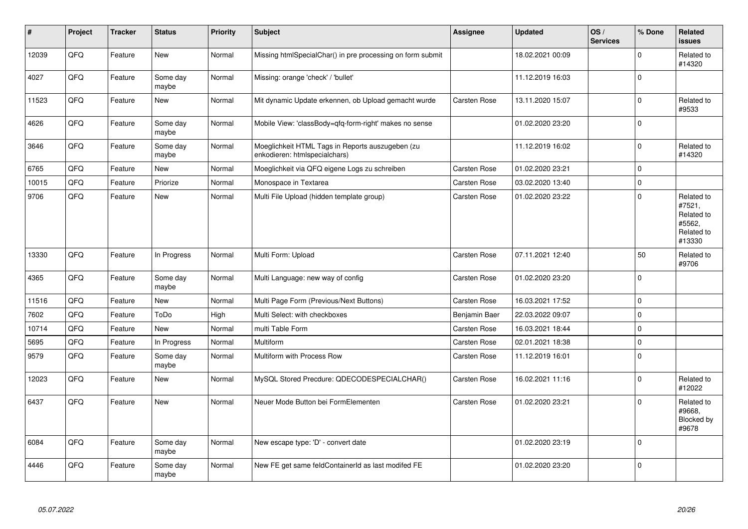| #     | Project | <b>Tracker</b> | <b>Status</b>     | Priority | <b>Subject</b>                                                                    | <b>Assignee</b>     | <b>Updated</b>   | OS/<br><b>Services</b> | % Done      | Related<br><b>issues</b>                                             |
|-------|---------|----------------|-------------------|----------|-----------------------------------------------------------------------------------|---------------------|------------------|------------------------|-------------|----------------------------------------------------------------------|
| 12039 | QFQ     | Feature        | <b>New</b>        | Normal   | Missing htmlSpecialChar() in pre processing on form submit                        |                     | 18.02.2021 00:09 |                        | $\Omega$    | Related to<br>#14320                                                 |
| 4027  | QFQ     | Feature        | Some day<br>maybe | Normal   | Missing: orange 'check' / 'bullet'                                                |                     | 11.12.2019 16:03 |                        | $\mathbf 0$ |                                                                      |
| 11523 | QFQ     | Feature        | New               | Normal   | Mit dynamic Update erkennen, ob Upload gemacht wurde                              | Carsten Rose        | 13.11.2020 15:07 |                        | $\mathbf 0$ | Related to<br>#9533                                                  |
| 4626  | QFQ     | Feature        | Some day<br>maybe | Normal   | Mobile View: 'classBody=qfq-form-right' makes no sense                            |                     | 01.02.2020 23:20 |                        | $\Omega$    |                                                                      |
| 3646  | QFQ     | Feature        | Some day<br>maybe | Normal   | Moeglichkeit HTML Tags in Reports auszugeben (zu<br>enkodieren: htmlspecialchars) |                     | 11.12.2019 16:02 |                        | $\Omega$    | Related to<br>#14320                                                 |
| 6765  | QFQ     | Feature        | <b>New</b>        | Normal   | Moeglichkeit via QFQ eigene Logs zu schreiben                                     | <b>Carsten Rose</b> | 01.02.2020 23:21 |                        | $\Omega$    |                                                                      |
| 10015 | QFQ     | Feature        | Priorize          | Normal   | Monospace in Textarea                                                             | Carsten Rose        | 03.02.2020 13:40 |                        | $\Omega$    |                                                                      |
| 9706  | QFQ     | Feature        | New               | Normal   | Multi File Upload (hidden template group)                                         | <b>Carsten Rose</b> | 01.02.2020 23:22 |                        | $\Omega$    | Related to<br>#7521,<br>Related to<br>#5562,<br>Related to<br>#13330 |
| 13330 | QFQ     | Feature        | In Progress       | Normal   | Multi Form: Upload                                                                | Carsten Rose        | 07.11.2021 12:40 |                        | 50          | Related to<br>#9706                                                  |
| 4365  | QFQ     | Feature        | Some day<br>maybe | Normal   | Multi Language: new way of config                                                 | Carsten Rose        | 01.02.2020 23:20 |                        | $\Omega$    |                                                                      |
| 11516 | QFQ     | Feature        | <b>New</b>        | Normal   | Multi Page Form (Previous/Next Buttons)                                           | Carsten Rose        | 16.03.2021 17:52 |                        | $\mathbf 0$ |                                                                      |
| 7602  | QFQ     | Feature        | ToDo              | High     | Multi Select: with checkboxes                                                     | Benjamin Baer       | 22.03.2022 09:07 |                        | $\mathbf 0$ |                                                                      |
| 10714 | QFQ     | Feature        | New               | Normal   | multi Table Form                                                                  | Carsten Rose        | 16.03.2021 18:44 |                        | $\Omega$    |                                                                      |
| 5695  | QFQ     | Feature        | In Progress       | Normal   | Multiform                                                                         | Carsten Rose        | 02.01.2021 18:38 |                        | $\mathbf 0$ |                                                                      |
| 9579  | QFQ     | Feature        | Some day<br>maybe | Normal   | Multiform with Process Row                                                        | Carsten Rose        | 11.12.2019 16:01 |                        | $\Omega$    |                                                                      |
| 12023 | QFQ     | Feature        | New               | Normal   | MySQL Stored Precdure: QDECODESPECIALCHAR()                                       | Carsten Rose        | 16.02.2021 11:16 |                        | $\mathbf 0$ | Related to<br>#12022                                                 |
| 6437  | QFQ     | Feature        | <b>New</b>        | Normal   | Neuer Mode Button bei FormElementen                                               | <b>Carsten Rose</b> | 01.02.2020 23:21 |                        | $\Omega$    | Related to<br>#9668,<br>Blocked by<br>#9678                          |
| 6084  | QFQ     | Feature        | Some day<br>maybe | Normal   | New escape type: 'D' - convert date                                               |                     | 01.02.2020 23:19 |                        | $\mathbf 0$ |                                                                      |
| 4446  | QFQ     | Feature        | Some day<br>maybe | Normal   | New FE get same feldContainerId as last modifed FE                                |                     | 01.02.2020 23:20 |                        | $\Omega$    |                                                                      |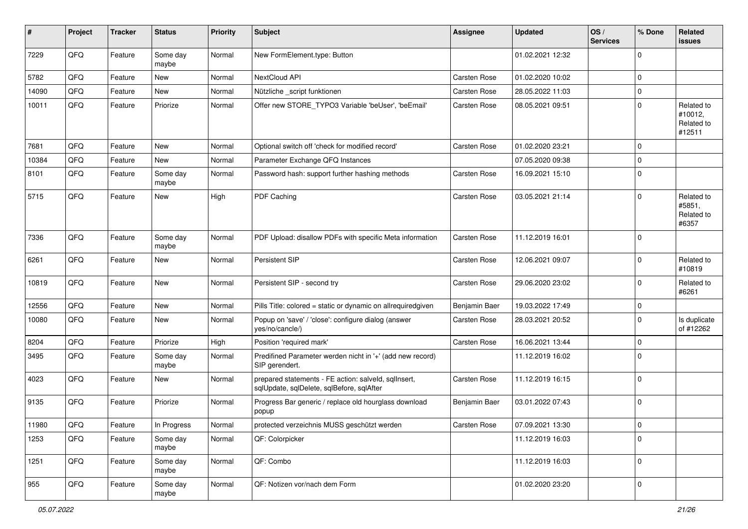| #     | Project | <b>Tracker</b> | <b>Status</b>     | <b>Priority</b> | <b>Subject</b>                                                                                    | <b>Assignee</b> | <b>Updated</b>   | OS/<br><b>Services</b> | % Done         | Related<br><b>issues</b>                      |
|-------|---------|----------------|-------------------|-----------------|---------------------------------------------------------------------------------------------------|-----------------|------------------|------------------------|----------------|-----------------------------------------------|
| 7229  | QFQ     | Feature        | Some day<br>maybe | Normal          | New FormElement.type: Button                                                                      |                 | 01.02.2021 12:32 |                        | $\Omega$       |                                               |
| 5782  | QFQ     | Feature        | New               | Normal          | NextCloud API                                                                                     | Carsten Rose    | 01.02.2020 10:02 |                        | $\mathbf 0$    |                                               |
| 14090 | QFQ     | Feature        | New               | Normal          | Nützliche _script funktionen                                                                      | Carsten Rose    | 28.05.2022 11:03 |                        | $\mathbf 0$    |                                               |
| 10011 | QFQ     | Feature        | Priorize          | Normal          | Offer new STORE_TYPO3 Variable 'beUser', 'beEmail'                                                | Carsten Rose    | 08.05.2021 09:51 |                        | $\mathbf{0}$   | Related to<br>#10012,<br>Related to<br>#12511 |
| 7681  | QFQ     | Feature        | <b>New</b>        | Normal          | Optional switch off 'check for modified record'                                                   | Carsten Rose    | 01.02.2020 23:21 |                        | $\mathbf 0$    |                                               |
| 10384 | QFQ     | Feature        | New               | Normal          | Parameter Exchange QFQ Instances                                                                  |                 | 07.05.2020 09:38 |                        | $\mathbf{0}$   |                                               |
| 8101  | QFQ     | Feature        | Some day<br>maybe | Normal          | Password hash: support further hashing methods                                                    | Carsten Rose    | 16.09.2021 15:10 |                        | $\mathbf 0$    |                                               |
| 5715  | QFQ     | Feature        | New               | High            | PDF Caching                                                                                       | Carsten Rose    | 03.05.2021 21:14 |                        | $\Omega$       | Related to<br>#5851,<br>Related to<br>#6357   |
| 7336  | QFQ     | Feature        | Some day<br>maybe | Normal          | PDF Upload: disallow PDFs with specific Meta information                                          | Carsten Rose    | 11.12.2019 16:01 |                        | l 0            |                                               |
| 6261  | QFQ     | Feature        | New               | Normal          | Persistent SIP                                                                                    | Carsten Rose    | 12.06.2021 09:07 |                        | $\Omega$       | Related to<br>#10819                          |
| 10819 | QFQ     | Feature        | New               | Normal          | Persistent SIP - second try                                                                       | Carsten Rose    | 29.06.2020 23:02 |                        | $\mathbf 0$    | Related to<br>#6261                           |
| 12556 | QFQ     | Feature        | New               | Normal          | Pills Title: colored = static or dynamic on allrequiredgiven                                      | Benjamin Baer   | 19.03.2022 17:49 |                        | $\mathbf 0$    |                                               |
| 10080 | QFQ     | Feature        | New               | Normal          | Popup on 'save' / 'close': configure dialog (answer<br>yes/no/cancle/)                            | Carsten Rose    | 28.03.2021 20:52 |                        | $\Omega$       | Is duplicate<br>of #12262                     |
| 8204  | QFQ     | Feature        | Priorize          | High            | Position 'required mark'                                                                          | Carsten Rose    | 16.06.2021 13:44 |                        | $\Omega$       |                                               |
| 3495  | QFQ     | Feature        | Some day<br>maybe | Normal          | Predifined Parameter werden nicht in '+' (add new record)<br>SIP gerendert.                       |                 | 11.12.2019 16:02 |                        | $\Omega$       |                                               |
| 4023  | QFQ     | Feature        | New               | Normal          | prepared statements - FE action: salveld, sqlInsert,<br>sqlUpdate, sqlDelete, sqlBefore, sqlAfter | Carsten Rose    | 11.12.2019 16:15 |                        | $\mathbf{0}$   |                                               |
| 9135  | QFQ     | Feature        | Priorize          | Normal          | Progress Bar generic / replace old hourglass download<br>popup                                    | Benjamin Baer   | 03.01.2022 07:43 |                        | $\overline{0}$ |                                               |
| 11980 | QFQ     | Feature        | In Progress       | Normal          | protected verzeichnis MUSS geschützt werden                                                       | Carsten Rose    | 07.09.2021 13:30 |                        | 0              |                                               |
| 1253  | QFQ     | Feature        | Some day<br>maybe | Normal          | QF: Colorpicker                                                                                   |                 | 11.12.2019 16:03 |                        | $\Omega$       |                                               |
| 1251  | QFQ     | Feature        | Some day<br>maybe | Normal          | QF: Combo                                                                                         |                 | 11.12.2019 16:03 |                        | l 0            |                                               |
| 955   | QFQ     | Feature        | Some day<br>maybe | Normal          | QF: Notizen vor/nach dem Form                                                                     |                 | 01.02.2020 23:20 |                        | 0              |                                               |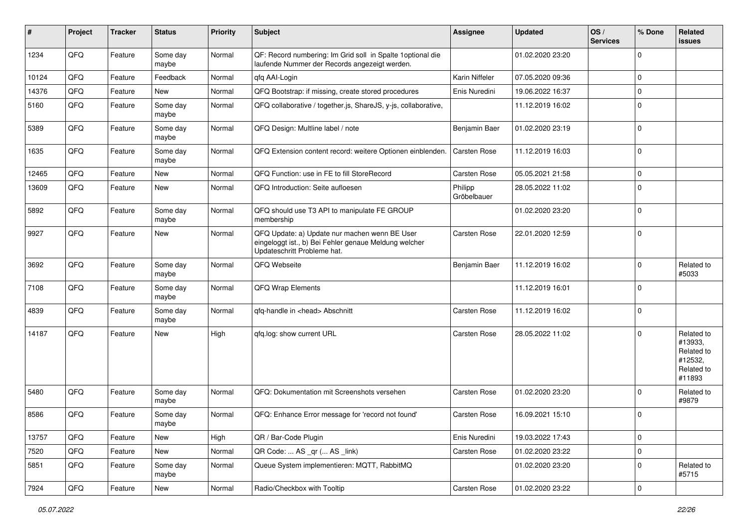| $\#$  | Project | <b>Tracker</b> | <b>Status</b>     | <b>Priority</b> | <b>Subject</b>                                                                                                                        | Assignee               | <b>Updated</b>   | OS/<br><b>Services</b> | % Done         | Related<br><b>issues</b>                                               |
|-------|---------|----------------|-------------------|-----------------|---------------------------------------------------------------------------------------------------------------------------------------|------------------------|------------------|------------------------|----------------|------------------------------------------------------------------------|
| 1234  | QFQ     | Feature        | Some day<br>maybe | Normal          | QF: Record numbering: Im Grid soll in Spalte 1 optional die<br>laufende Nummer der Records angezeigt werden.                          |                        | 01.02.2020 23:20 |                        | $\Omega$       |                                                                        |
| 10124 | QFQ     | Feature        | Feedback          | Normal          | qfq AAI-Login                                                                                                                         | Karin Niffeler         | 07.05.2020 09:36 |                        | $\mathbf 0$    |                                                                        |
| 14376 | QFQ     | Feature        | New               | Normal          | QFQ Bootstrap: if missing, create stored procedures                                                                                   | Enis Nuredini          | 19.06.2022 16:37 |                        | $\mathbf 0$    |                                                                        |
| 5160  | QFQ     | Feature        | Some day<br>maybe | Normal          | QFQ collaborative / together.js, ShareJS, y-js, collaborative,                                                                        |                        | 11.12.2019 16:02 |                        | $\Omega$       |                                                                        |
| 5389  | QFQ     | Feature        | Some day<br>maybe | Normal          | QFQ Design: Multline label / note                                                                                                     | Benjamin Baer          | 01.02.2020 23:19 |                        | $\Omega$       |                                                                        |
| 1635  | QFQ     | Feature        | Some day<br>maybe | Normal          | QFQ Extension content record: weitere Optionen einblenden.                                                                            | Carsten Rose           | 11.12.2019 16:03 |                        | $\overline{0}$ |                                                                        |
| 12465 | QFQ     | Feature        | New               | Normal          | QFQ Function: use in FE to fill StoreRecord                                                                                           | Carsten Rose           | 05.05.2021 21:58 |                        | $\Omega$       |                                                                        |
| 13609 | QFQ     | Feature        | New               | Normal          | QFQ Introduction: Seite aufloesen                                                                                                     | Philipp<br>Gröbelbauer | 28.05.2022 11:02 |                        | $\Omega$       |                                                                        |
| 5892  | QFQ     | Feature        | Some day<br>maybe | Normal          | QFQ should use T3 API to manipulate FE GROUP<br>membership                                                                            |                        | 01.02.2020 23:20 |                        | $\Omega$       |                                                                        |
| 9927  | QFQ     | Feature        | New               | Normal          | QFQ Update: a) Update nur machen wenn BE User<br>eingeloggt ist., b) Bei Fehler genaue Meldung welcher<br>Updateschritt Probleme hat. | Carsten Rose           | 22.01.2020 12:59 |                        | $\Omega$       |                                                                        |
| 3692  | QFQ     | Feature        | Some day<br>maybe | Normal          | QFQ Webseite                                                                                                                          | Benjamin Baer          | 11.12.2019 16:02 |                        | $\Omega$       | Related to<br>#5033                                                    |
| 7108  | QFQ     | Feature        | Some day<br>maybe | Normal          | QFQ Wrap Elements                                                                                                                     |                        | 11.12.2019 16:01 |                        | $\overline{0}$ |                                                                        |
| 4839  | QFQ     | Feature        | Some day<br>maybe | Normal          | qfq-handle in <head> Abschnitt</head>                                                                                                 | Carsten Rose           | 11.12.2019 16:02 |                        | $\overline{0}$ |                                                                        |
| 14187 | QFQ     | Feature        | <b>New</b>        | High            | qfq.log: show current URL                                                                                                             | Carsten Rose           | 28.05.2022 11:02 |                        | $\Omega$       | Related to<br>#13933,<br>Related to<br>#12532,<br>Related to<br>#11893 |
| 5480  | QFQ     | Feature        | Some day<br>maybe | Normal          | QFQ: Dokumentation mit Screenshots versehen                                                                                           | Carsten Rose           | 01.02.2020 23:20 |                        | $\Omega$       | Related to<br>#9879                                                    |
| 8586  | QFQ     | Feature        | Some day<br>maybe | Normal          | QFQ: Enhance Error message for 'record not found'                                                                                     | Carsten Rose           | 16.09.2021 15:10 |                        | $\Omega$       |                                                                        |
| 13757 | QFQ     | Feature        | New               | High            | QR / Bar-Code Plugin                                                                                                                  | Enis Nuredini          | 19.03.2022 17:43 |                        | $\mathbf 0$    |                                                                        |
| 7520  | QFQ     | Feature        | New               | Normal          | QR Code:  AS _qr ( AS _link)                                                                                                          | Carsten Rose           | 01.02.2020 23:22 |                        | $\mathbf 0$    |                                                                        |
| 5851  | QFQ     | Feature        | Some day<br>maybe | Normal          | Queue System implementieren: MQTT, RabbitMQ                                                                                           |                        | 01.02.2020 23:20 |                        | $\Omega$       | Related to<br>#5715                                                    |
| 7924  | QFG     | Feature        | New               | Normal          | Radio/Checkbox with Tooltip                                                                                                           | Carsten Rose           | 01.02.2020 23:22 |                        | $\overline{0}$ |                                                                        |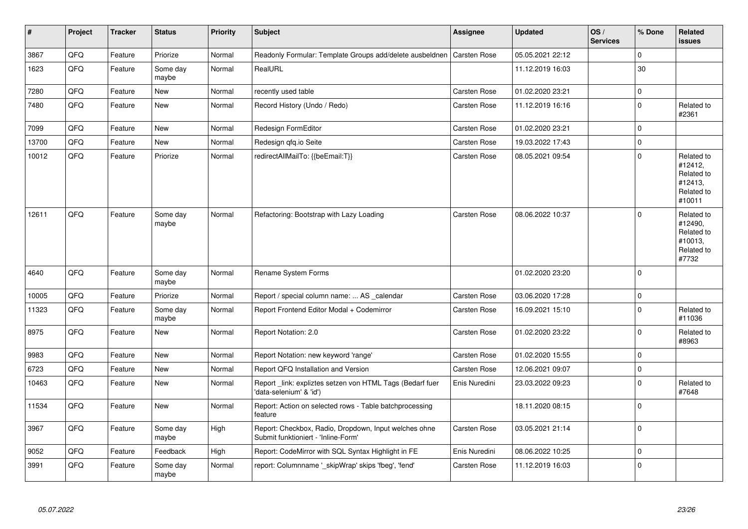| $\sharp$ | Project | <b>Tracker</b> | <b>Status</b>     | <b>Priority</b> | Subject                                                                                      | Assignee      | <b>Updated</b>   | OS/<br><b>Services</b> | % Done       | Related<br><b>issues</b>                                               |
|----------|---------|----------------|-------------------|-----------------|----------------------------------------------------------------------------------------------|---------------|------------------|------------------------|--------------|------------------------------------------------------------------------|
| 3867     | QFQ     | Feature        | Priorize          | Normal          | Readonly Formular: Template Groups add/delete ausbeldnen                                     | Carsten Rose  | 05.05.2021 22:12 |                        | $\Omega$     |                                                                        |
| 1623     | QFQ     | Feature        | Some day<br>maybe | Normal          | RealURL                                                                                      |               | 11.12.2019 16:03 |                        | 30           |                                                                        |
| 7280     | QFQ     | Feature        | <b>New</b>        | Normal          | recently used table                                                                          | Carsten Rose  | 01.02.2020 23:21 |                        | $\Omega$     |                                                                        |
| 7480     | QFQ     | Feature        | New               | Normal          | Record History (Undo / Redo)                                                                 | Carsten Rose  | 11.12.2019 16:16 |                        | $\mathbf 0$  | Related to<br>#2361                                                    |
| 7099     | QFQ     | Feature        | <b>New</b>        | Normal          | Redesign FormEditor                                                                          | Carsten Rose  | 01.02.2020 23:21 |                        | $\mathbf 0$  |                                                                        |
| 13700    | QFQ     | Feature        | New               | Normal          | Redesign gfg.io Seite                                                                        | Carsten Rose  | 19.03.2022 17:43 |                        | $\mathbf 0$  |                                                                        |
| 10012    | QFQ     | Feature        | Priorize          | Normal          | redirectAllMailTo: {{beEmail:T}}                                                             | Carsten Rose  | 08.05.2021 09:54 |                        | $\Omega$     | Related to<br>#12412,<br>Related to<br>#12413,<br>Related to<br>#10011 |
| 12611    | QFQ     | Feature        | Some day<br>maybe | Normal          | Refactoring: Bootstrap with Lazy Loading                                                     | Carsten Rose  | 08.06.2022 10:37 |                        | $\Omega$     | Related to<br>#12490,<br>Related to<br>#10013,<br>Related to<br>#7732  |
| 4640     | QFQ     | Feature        | Some day<br>maybe | Normal          | Rename System Forms                                                                          |               | 01.02.2020 23:20 |                        | $\Omega$     |                                                                        |
| 10005    | QFQ     | Feature        | Priorize          | Normal          | Report / special column name:  AS calendar                                                   | Carsten Rose  | 03.06.2020 17:28 |                        | 0            |                                                                        |
| 11323    | QFQ     | Feature        | Some day<br>maybe | Normal          | Report Frontend Editor Modal + Codemirror                                                    | Carsten Rose  | 16.09.2021 15:10 |                        | $\Omega$     | Related to<br>#11036                                                   |
| 8975     | QFQ     | Feature        | New               | Normal          | Report Notation: 2.0                                                                         | Carsten Rose  | 01.02.2020 23:22 |                        | $\mathbf{0}$ | Related to<br>#8963                                                    |
| 9983     | QFQ     | Feature        | <b>New</b>        | Normal          | Report Notation: new keyword 'range'                                                         | Carsten Rose  | 01.02.2020 15:55 |                        | $\mathbf 0$  |                                                                        |
| 6723     | QFQ     | Feature        | <b>New</b>        | Normal          | Report QFQ Installation and Version                                                          | Carsten Rose  | 12.06.2021 09:07 |                        | $\mathbf 0$  |                                                                        |
| 10463    | QFQ     | Feature        | <b>New</b>        | Normal          | Report_link: expliztes setzen von HTML Tags (Bedarf fuer<br>'data-selenium' & 'id')          | Enis Nuredini | 23.03.2022 09:23 |                        | $\Omega$     | Related to<br>#7648                                                    |
| 11534    | QFQ     | Feature        | <b>New</b>        | Normal          | Report: Action on selected rows - Table batchprocessing<br>feature                           |               | 18.11.2020 08:15 |                        | $\Omega$     |                                                                        |
| 3967     | QFQ     | Feature        | Some day<br>maybe | High            | Report: Checkbox, Radio, Dropdown, Input welches ohne<br>Submit funktioniert - 'Inline-Form' | Carsten Rose  | 03.05.2021 21:14 |                        | $\Omega$     |                                                                        |
| 9052     | QFQ     | Feature        | Feedback          | High            | Report: CodeMirror with SQL Syntax Highlight in FE                                           | Enis Nuredini | 08.06.2022 10:25 |                        | 0            |                                                                        |
| 3991     | QFQ     | Feature        | Some day<br>maybe | Normal          | report: Columnname ' skipWrap' skips 'fbeg', 'fend'                                          | Carsten Rose  | 11.12.2019 16:03 |                        | $\Omega$     |                                                                        |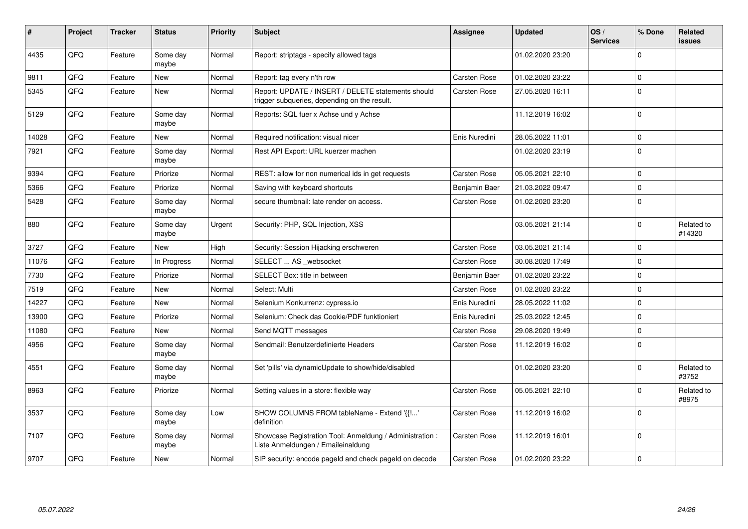| #     | Project | <b>Tracker</b> | <b>Status</b>     | <b>Priority</b> | <b>Subject</b>                                                                                     | <b>Assignee</b>     | <b>Updated</b>   | OS/<br><b>Services</b> | % Done      | Related<br>issues    |
|-------|---------|----------------|-------------------|-----------------|----------------------------------------------------------------------------------------------------|---------------------|------------------|------------------------|-------------|----------------------|
| 4435  | QFQ     | Feature        | Some day<br>maybe | Normal          | Report: striptags - specify allowed tags                                                           |                     | 01.02.2020 23:20 |                        | $\Omega$    |                      |
| 9811  | QFQ     | Feature        | New               | Normal          | Report: tag every n'th row                                                                         | Carsten Rose        | 01.02.2020 23:22 |                        | $\mathbf 0$ |                      |
| 5345  | QFQ     | Feature        | New               | Normal          | Report: UPDATE / INSERT / DELETE statements should<br>trigger subqueries, depending on the result. | Carsten Rose        | 27.05.2020 16:11 |                        | $\Omega$    |                      |
| 5129  | QFQ     | Feature        | Some day<br>maybe | Normal          | Reports: SQL fuer x Achse und y Achse                                                              |                     | 11.12.2019 16:02 |                        | $\Omega$    |                      |
| 14028 | QFQ     | Feature        | New               | Normal          | Required notification: visual nicer                                                                | Enis Nuredini       | 28.05.2022 11:01 |                        | $\mathbf 0$ |                      |
| 7921  | QFQ     | Feature        | Some day<br>maybe | Normal          | Rest API Export: URL kuerzer machen                                                                |                     | 01.02.2020 23:19 |                        | $\mathbf 0$ |                      |
| 9394  | QFQ     | Feature        | Priorize          | Normal          | REST: allow for non numerical ids in get requests                                                  | <b>Carsten Rose</b> | 05.05.2021 22:10 |                        | $\Omega$    |                      |
| 5366  | QFQ     | Feature        | Priorize          | Normal          | Saving with keyboard shortcuts                                                                     | Benjamin Baer       | 21.03.2022 09:47 |                        | $\Omega$    |                      |
| 5428  | QFQ     | Feature        | Some day<br>maybe | Normal          | secure thumbnail: late render on access.                                                           | <b>Carsten Rose</b> | 01.02.2020 23:20 |                        | $\Omega$    |                      |
| 880   | QFQ     | Feature        | Some day<br>maybe | Urgent          | Security: PHP, SQL Injection, XSS                                                                  |                     | 03.05.2021 21:14 |                        | $\Omega$    | Related to<br>#14320 |
| 3727  | QFQ     | Feature        | <b>New</b>        | High            | Security: Session Hijacking erschweren                                                             | Carsten Rose        | 03.05.2021 21:14 |                        | $\mathbf 0$ |                      |
| 11076 | QFQ     | Feature        | In Progress       | Normal          | SELECT  AS _websocket                                                                              | Carsten Rose        | 30.08.2020 17:49 |                        | $\mathbf 0$ |                      |
| 7730  | QFQ     | Feature        | Priorize          | Normal          | SELECT Box: title in between                                                                       | Benjamin Baer       | 01.02.2020 23:22 |                        | $\mathbf 0$ |                      |
| 7519  | QFQ     | Feature        | <b>New</b>        | Normal          | Select: Multi                                                                                      | Carsten Rose        | 01.02.2020 23:22 |                        | $\mathbf 0$ |                      |
| 14227 | QFQ     | Feature        | New               | Normal          | Selenium Konkurrenz: cypress.io                                                                    | Enis Nuredini       | 28.05.2022 11:02 |                        | $\Omega$    |                      |
| 13900 | QFQ     | Feature        | Priorize          | Normal          | Selenium: Check das Cookie/PDF funktioniert                                                        | Enis Nuredini       | 25.03.2022 12:45 |                        | $\Omega$    |                      |
| 11080 | QFQ     | Feature        | <b>New</b>        | Normal          | Send MQTT messages                                                                                 | Carsten Rose        | 29.08.2020 19:49 |                        | $\Omega$    |                      |
| 4956  | QFQ     | Feature        | Some day<br>maybe | Normal          | Sendmail: Benutzerdefinierte Headers                                                               | Carsten Rose        | 11.12.2019 16:02 |                        | $\Omega$    |                      |
| 4551  | QFQ     | Feature        | Some day<br>maybe | Normal          | Set 'pills' via dynamicUpdate to show/hide/disabled                                                |                     | 01.02.2020 23:20 |                        | $\Omega$    | Related to<br>#3752  |
| 8963  | QFQ     | Feature        | Priorize          | Normal          | Setting values in a store: flexible way                                                            | Carsten Rose        | 05.05.2021 22:10 |                        | $\Omega$    | Related to<br>#8975  |
| 3537  | QFQ     | Feature        | Some day<br>maybe | Low             | SHOW COLUMNS FROM tableName - Extend '{{!'<br>definition                                           | <b>Carsten Rose</b> | 11.12.2019 16:02 |                        | $\mathbf 0$ |                      |
| 7107  | QFQ     | Feature        | Some day<br>maybe | Normal          | Showcase Registration Tool: Anmeldung / Administration :<br>Liste Anmeldungen / Emaileinaldung     | <b>Carsten Rose</b> | 11.12.2019 16:01 |                        | $\mathbf 0$ |                      |
| 9707  | QFQ     | Feature        | New               | Normal          | SIP security: encode pageld and check pageld on decode                                             | <b>Carsten Rose</b> | 01.02.2020 23:22 |                        | $\mathbf 0$ |                      |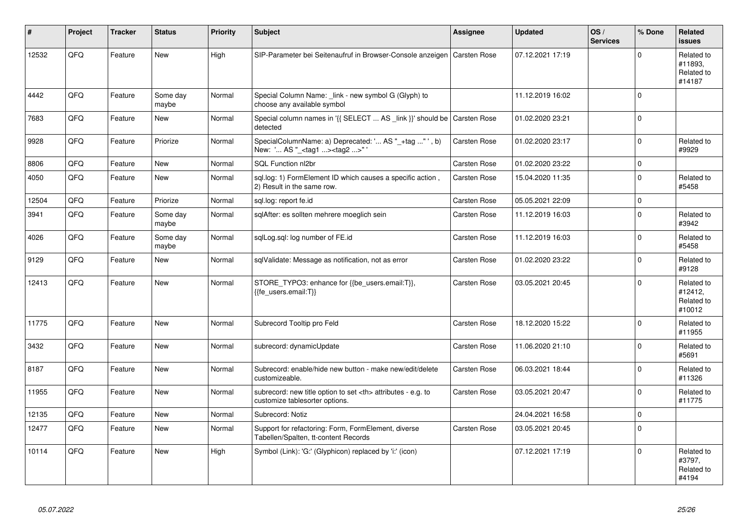| #     | Project | <b>Tracker</b> | <b>Status</b>     | <b>Priority</b> | <b>Subject</b>                                                                                       | Assignee                                               | <b>Updated</b>      | OS/<br><b>Services</b> | % Done      | Related<br><b>issues</b>                      |                      |
|-------|---------|----------------|-------------------|-----------------|------------------------------------------------------------------------------------------------------|--------------------------------------------------------|---------------------|------------------------|-------------|-----------------------------------------------|----------------------|
| 12532 | QFQ     | Feature        | <b>New</b>        | High            | SIP-Parameter bei Seitenaufruf in Browser-Console anzeigen   Carsten Rose                            |                                                        | 07.12.2021 17:19    |                        | $\Omega$    | Related to<br>#11893.<br>Related to<br>#14187 |                      |
| 4442  | QFQ     | Feature        | Some day<br>maybe | Normal          | Special Column Name: link - new symbol G (Glyph) to<br>choose any available symbol                   |                                                        | 11.12.2019 16:02    |                        | $\Omega$    |                                               |                      |
| 7683  | QFQ     | Feature        | New               | Normal          | Special column names in '{{ SELECT  AS _link }}' should be Carsten Rose<br>detected                  |                                                        | 01.02.2020 23:21    |                        | $\Omega$    |                                               |                      |
| 9928  | QFQ     | Feature        | Priorize          | Normal          | SpecialColumnName: a) Deprecated: ' AS "_+tag " ', b)<br>New: ' AS "_ <tag1><tag2>"'</tag2></tag1>   | Carsten Rose                                           | 01.02.2020 23:17    |                        | $\Omega$    | Related to<br>#9929                           |                      |
| 8806  | QFQ     | Feature        | New               | Normal          | SQL Function nl2br                                                                                   | Carsten Rose                                           | 01.02.2020 23:22    |                        | $\Omega$    |                                               |                      |
| 4050  | QFQ     | Feature        | New               | Normal          | sql.log: 1) FormElement ID which causes a specific action,<br>2) Result in the same row.             | Carsten Rose                                           | 15.04.2020 11:35    |                        | $\Omega$    | Related to<br>#5458                           |                      |
| 12504 | QFQ     | Feature        | Priorize          | Normal          | sql.log: report fe.id                                                                                | Carsten Rose                                           | 05.05.2021 22:09    |                        | $\mathbf 0$ |                                               |                      |
| 3941  | QFQ     | Feature        | Some day<br>maybe | Normal          | sqlAfter: es sollten mehrere moeglich sein                                                           | Carsten Rose                                           | 11.12.2019 16:03    |                        | $\Omega$    | Related to<br>#3942                           |                      |
| 4026  | QFQ     | Feature        | Some day<br>maybe | Normal          | sqlLog.sql: log number of FE.id                                                                      | Carsten Rose                                           | 11.12.2019 16:03    |                        | $\Omega$    | Related to<br>#5458                           |                      |
| 9129  | QFQ     | Feature        | New               | Normal          | sqlValidate: Message as notification, not as error                                                   | Carsten Rose                                           | 01.02.2020 23:22    |                        | $\Omega$    | Related to<br>#9128                           |                      |
| 12413 | QFQ     | Feature        | <b>New</b>        | Normal          | STORE_TYPO3: enhance for {{be_users.email:T}},<br>{{fe users.email:T}}                               | <b>Carsten Rose</b>                                    | 03.05.2021 20:45    |                        | $\Omega$    | Related to<br>#12412,<br>Related to<br>#10012 |                      |
| 11775 | QFQ     | Feature        | <b>New</b>        | Normal          | Subrecord Tooltip pro Feld                                                                           | Carsten Rose                                           | 18.12.2020 15:22    |                        | $\Omega$    | Related to<br>#11955                          |                      |
| 3432  | QFQ     | Feature        | <b>New</b>        | Normal          | subrecord: dynamicUpdate                                                                             | Carsten Rose                                           | 11.06.2020 21:10    |                        | $\Omega$    | Related to<br>#5691                           |                      |
| 8187  | QFQ     | Feature        | <b>New</b>        | Normal          | Subrecord: enable/hide new button - make new/edit/delete<br>customizeable.                           | Carsten Rose                                           | 06.03.2021 18:44    |                        | $\Omega$    | Related to<br>#11326                          |                      |
| 11955 | QFQ     | Feature        | <b>New</b>        | Normal          | subrecord: new title option to set <th> attributes - e.g. to<br/>customize tablesorter options.</th> | attributes - e.g. to<br>customize tablesorter options. | <b>Carsten Rose</b> | 03.05.2021 20:47       |             | $\Omega$                                      | Related to<br>#11775 |
| 12135 | QFQ     | Feature        | <b>New</b>        | Normal          | Subrecord: Notiz                                                                                     |                                                        | 24.04.2021 16:58    |                        | $\mathbf 0$ |                                               |                      |
| 12477 | QFQ     | Feature        | <b>New</b>        | Normal          | Support for refactoring: Form, FormElement, diverse<br>Tabellen/Spalten, tt-content Records          | Carsten Rose                                           | 03.05.2021 20:45    |                        | $\Omega$    |                                               |                      |
| 10114 | QFQ     | Feature        | <b>New</b>        | High            | Symbol (Link): 'G:' (Glyphicon) replaced by 'i:' (icon)                                              |                                                        | 07.12.2021 17:19    |                        | $\Omega$    | Related to<br>#3797,<br>Related to<br>#4194   |                      |